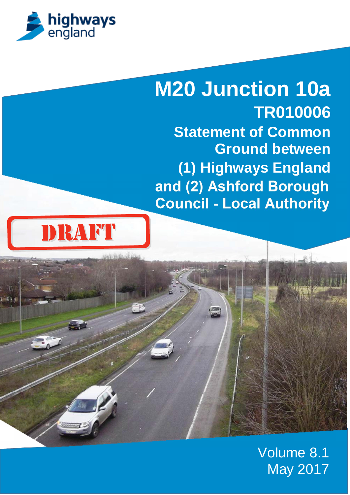

# **M20 Junction 10a TR010006 Statement of Common Ground between (1) Highways England and (2) Ashford Borough Council - Local Authority**



Volume 8.1 May 2017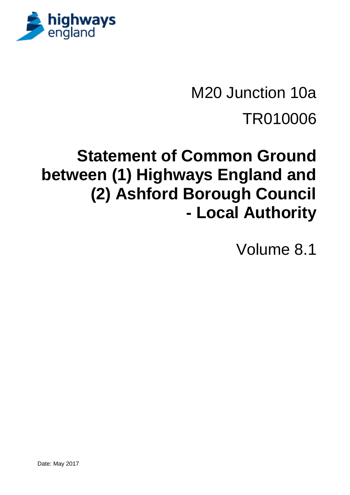

M20 Junction 10a TR010006

# **Statement of Common Ground between (1) Highways England and (2) Ashford Borough Council - Local Authority**

Volume 8.1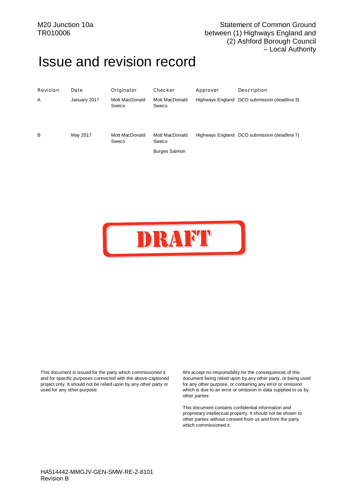# <span id="page-4-1"></span><span id="page-4-0"></span>Issue and revision record

| Revision | Date         | Originator              | Checker                 | Approver | Description                                  |
|----------|--------------|-------------------------|-------------------------|----------|----------------------------------------------|
| A        | January 2017 | Mott MacDonald<br>Sweco | Mott MacDonald<br>Sweco |          | Highways England DCO submission (deadline 3) |
| B        | May 2017     | Mott MacDonald<br>Sweco | Mott MacDonald<br>Sweco |          | Highways England DCO submission (deadline 7) |
|          |              |                         | <b>Burges Salmon</b>    |          |                                              |
|          |              |                         |                         |          |                                              |
|          |              |                         |                         |          |                                              |



This document is issued for the party which commissioned it and for specific purposes connected with the above-captioned project only. It should not be relied upon by any other party or used for any other purpose.

We accept no responsibility for the consequences of this document being relied upon by any other party, or being used for any other purpose, or containing any error or omission which is due to an error or omission in data supplied to us by other parties

This document contains confidential information and proprietary intellectual property. It should not be shown to other parties without consent from us and from the party which commissioned it.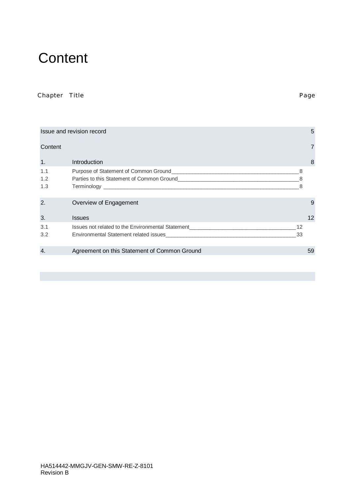# <span id="page-6-0"></span>**Content**

#### Chapter Title Page

|         | Issue and revision record                                                        |    | 5  |
|---------|----------------------------------------------------------------------------------|----|----|
| Content |                                                                                  |    |    |
| 1.      | Introduction                                                                     |    | 8  |
| 1.1     |                                                                                  | 8  |    |
| 1.2     |                                                                                  |    |    |
| 1.3     | Terminology <b>Example 2018</b> Terminology                                      |    |    |
| 2.      | Overview of Engagement                                                           |    | 9  |
| 3.      | <b>Issues</b>                                                                    |    | 12 |
| 3.1     | Issues not related to the Environmental Statement_______________________________ | 12 |    |
| 3.2     | Environmental Statement related issues                                           | 33 |    |
| 4.      | Agreement on this Statement of Common Ground                                     |    | 59 |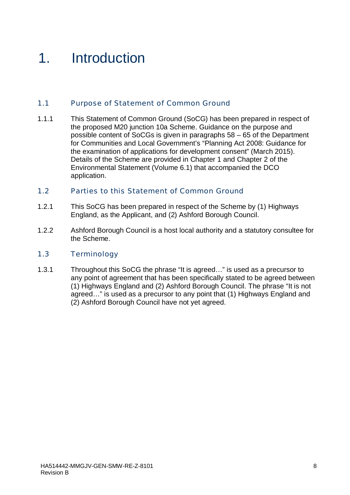# <span id="page-7-0"></span>1. Introduction

#### <span id="page-7-1"></span>1.1 Purpose of Statement of Common Ground

1.1.1 This Statement of Common Ground (SoCG) has been prepared in respect of the proposed M20 junction 10a Scheme. Guidance on the purpose and possible content of SoCGs is given in paragraphs 58 – 65 of the Department for Communities and Local Government's "Planning Act 2008: Guidance for the examination of applications for development consent" (March 2015). Details of the Scheme are provided in Chapter 1 and Chapter 2 of the Environmental Statement (Volume 6.1) that accompanied the DCO application.

#### <span id="page-7-2"></span>1.2 Parties to this Statement of Common Ground

- 1.2.1 This SoCG has been prepared in respect of the Scheme by (1) Highways England, as the Applicant, and (2) Ashford Borough Council.
- 1.2.2 Ashford Borough Council is a host local authority and a statutory consultee for the Scheme.

#### <span id="page-7-3"></span>1.3 Terminology

1.3.1 Throughout this SoCG the phrase "It is agreed…" is used as a precursor to any point of agreement that has been specifically stated to be agreed between (1) Highways England and (2) Ashford Borough Council. The phrase "It is not agreed…" is used as a precursor to any point that (1) Highways England and (2) Ashford Borough Council have not yet agreed.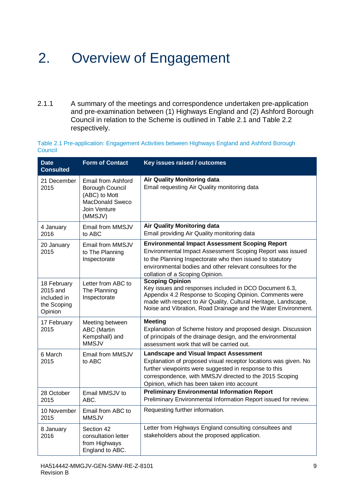# <span id="page-8-0"></span>2. Overview of Engagement

2.1.1 A summary of the meetings and correspondence undertaken pre-application and pre-examination between (1) Highways England and (2) Ashford Borough Council in relation to the Scheme is outlined in Table 2.1 and Table 2.2 respectively.

Table 2.1 Pre-application: Engagement Activities between Highways England and Ashford Borough **Council** 

| <b>Date</b><br><b>Consulted</b>                                  | <b>Form of Contact</b>                                                                               | Key issues raised / outcomes                                                                                                                                                                                                                                                       |
|------------------------------------------------------------------|------------------------------------------------------------------------------------------------------|------------------------------------------------------------------------------------------------------------------------------------------------------------------------------------------------------------------------------------------------------------------------------------|
| 21 December<br>2015                                              | Email from Ashford<br>Borough Council<br>(ABC) to Mott<br>MacDonald Sweco<br>Join Venture<br>(MMSJV) | <b>Air Quality Monitoring data</b><br>Email requesting Air Quality monitoring data                                                                                                                                                                                                 |
| 4 January<br>2016                                                | Email from MMSJV<br>to ABC                                                                           | <b>Air Quality Monitoring data</b><br>Email providing Air Quality monitoring data                                                                                                                                                                                                  |
| 20 January<br>2015                                               | Email from MMSJV<br>to The Planning<br>Inspectorate                                                  | <b>Environmental Impact Assessment Scoping Report</b><br>Environmental Impact Assessment Scoping Report was issued<br>to the Planning Inspectorate who then issued to statutory<br>environmental bodies and other relevant consultees for the<br>collation of a Scoping Opinion.   |
| 18 February<br>2015 and<br>included in<br>the Scoping<br>Opinion | Letter from ABC to<br>The Planning<br>Inspectorate                                                   | <b>Scoping Opinion</b><br>Key issues and responses included in DCO Document 6.3,<br>Appendix 4.2 Response to Scoping Opinion. Comments were<br>made with respect to Air Quality, Cultural Heritage, Landscape,<br>Noise and Vibration, Road Drainage and the Water Environment.    |
| 17 February<br>2015                                              | Meeting between<br><b>ABC</b> (Martin<br>Kempshall) and<br><b>MMSJV</b>                              | <b>Meeting</b><br>Explanation of Scheme history and proposed design. Discussion<br>of principals of the drainage design, and the environmental<br>assessment work that will be carried out.                                                                                        |
| 6 March<br>2015                                                  | Email from MMSJV<br>to ABC                                                                           | <b>Landscape and Visual Impact Assessment</b><br>Explanation of proposed visual receptor locations was given. No<br>further viewpoints were suggested in response to this<br>correspondence, with MMSJV directed to the 2015 Scoping<br>Opinion, which has been taken into account |
| 28 October<br>2015                                               | Email MMSJV to<br>ABC.                                                                               | <b>Preliminary Environmental Information Report</b><br>Preliminary Environmental Information Report issued for review.                                                                                                                                                             |
| 10 November<br>2015                                              | Email from ABC to<br><b>MMSJV</b>                                                                    | Requesting further information.                                                                                                                                                                                                                                                    |
| 8 January<br>2016                                                | Section 42<br>consultation letter<br>from Highways<br>England to ABC.                                | Letter from Highways England consulting consultees and<br>stakeholders about the proposed application.                                                                                                                                                                             |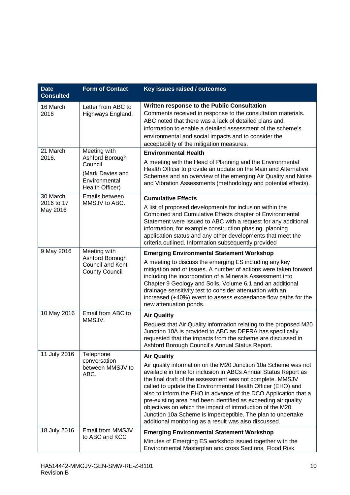| <b>Date</b><br><b>Consulted</b>    | <b>Form of Contact</b>                                                                             | Key issues raised / outcomes                                                                                                                                                                                                                                                                                                                                                                                                                                                                                                                                                                                  |
|------------------------------------|----------------------------------------------------------------------------------------------------|---------------------------------------------------------------------------------------------------------------------------------------------------------------------------------------------------------------------------------------------------------------------------------------------------------------------------------------------------------------------------------------------------------------------------------------------------------------------------------------------------------------------------------------------------------------------------------------------------------------|
| 16 March<br>2016                   | Letter from ABC to<br>Highways England.                                                            | Written response to the Public Consultation<br>Comments received in response to the consultation materials.<br>ABC noted that there was a lack of detailed plans and<br>information to enable a detailed assessment of the scheme's<br>environmental and social impacts and to consider the<br>acceptability of the mitigation measures.                                                                                                                                                                                                                                                                      |
| 21 March<br>2016.                  | Meeting with<br>Ashford Borough<br>Council<br>(Mark Davies and<br>Environmental<br>Health Officer) | <b>Environmental Health</b><br>A meeting with the Head of Planning and the Environmental<br>Health Officer to provide an update on the Main and Alternative<br>Schemes and an overview of the emerging Air Quality and Noise<br>and Vibration Assessments (methodology and potential effects).                                                                                                                                                                                                                                                                                                                |
| 30 March<br>2016 to 17<br>May 2016 | Emails between<br>MMSJV to ABC.                                                                    | <b>Cumulative Effects</b><br>A list of proposed developments for inclusion within the<br>Combined and Cumulative Effects chapter of Environmental<br>Statement were issued to ABC with a request for any additional<br>information, for example construction phasing, planning<br>application status and any other developments that meet the<br>criteria outlined. Information subsequently provided                                                                                                                                                                                                         |
| 9 May 2016                         | Meeting with<br>Ashford Borough<br>Council and Kent<br><b>County Council</b>                       | <b>Emerging Environmental Statement Workshop</b><br>A meeting to discuss the emerging ES including any key<br>mitigation and or issues. A number of actions were taken forward<br>including the incorporation of a Minerals Assessment into<br>Chapter 9 Geology and Soils, Volume 6.1 and an additional<br>drainage sensitivity test to consider attenuation with an<br>increased (+40%) event to assess exceedance flow paths for the<br>new attenuation ponds.                                                                                                                                             |
| 10 May 2016                        | Email from ABC to<br>MMSJV.                                                                        | <b>Air Quality</b><br>Request that Air Quality information relating to the proposed M20<br>Junction 10A is provided to ABC as DEFRA has specifically<br>requested that the impacts from the scheme are discussed in<br>Ashford Borough Council's Annual Status Report.                                                                                                                                                                                                                                                                                                                                        |
| 11 July 2016                       | Telephone<br>conversation<br>between MMSJV to<br>ABC.                                              | <b>Air Quality</b><br>Air quality information on the M20 Junction 10a Scheme was not<br>available in time for inclusion in ABCs Annual Status Report as<br>the final draft of the assessment was not complete. MMSJV<br>called to update the Environmental Health Officer (EHO) and<br>also to inform the EHO in advance of the DCO Application that a<br>pre-existing area had been identified as exceeding air quality<br>objectives on which the impact of introduction of the M20<br>Junction 10a Scheme is imperceptible. The plan to undertake<br>additional monitoring as a result was also discussed. |
| 18 July 2016                       | Email from MMSJV<br>to ABC and KCC                                                                 | <b>Emerging Environmental Statement Workshop</b><br>Minutes of Emerging ES workshop issued together with the<br>Environmental Masterplan and cross Sections, Flood Risk                                                                                                                                                                                                                                                                                                                                                                                                                                       |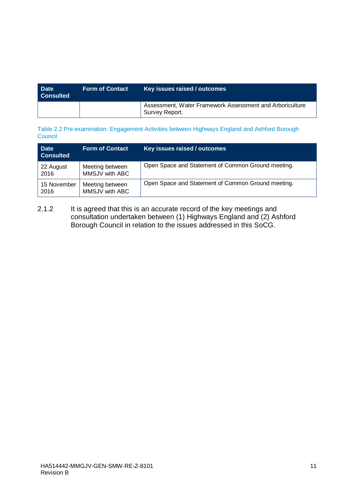| <b>Date</b><br><b>Form of Contact</b><br><b>Consulted</b> |  | Key issues raised / outcomes                                               |
|-----------------------------------------------------------|--|----------------------------------------------------------------------------|
|                                                           |  | Assessment, Water Framework Assessment and Arboriculture<br>Survey Report. |

Table 2.2 Pre-examination: Engagement Activities between Highways England and Ashford Borough **Council** 

| <b>Date</b><br><b>Consulted</b> | <b>Form of Contact</b>            | Key issues raised / outcomes                       |
|---------------------------------|-----------------------------------|----------------------------------------------------|
| 22 August<br>2016               | Meeting between<br>MMSJV with ABC | Open Space and Statement of Common Ground meeting. |
| 15 November<br>2016             | Meeting between<br>MMSJV with ABC | Open Space and Statement of Common Ground meeting. |

2.1.2 It is agreed that this is an accurate record of the key meetings and consultation undertaken between (1) Highways England and (2) Ashford Borough Council in relation to the issues addressed in this SoCG.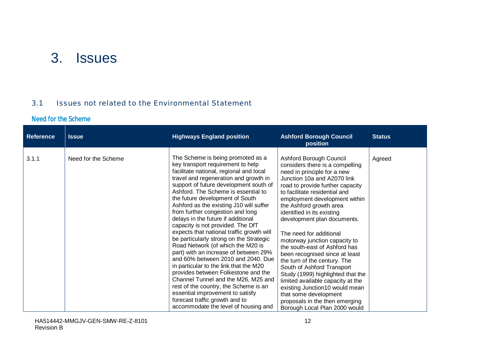# <span id="page-11-0"></span>3. Issues

#### <span id="page-11-1"></span>3.1 Issues not related to the Environmental Statement

#### Need for the Scheme

| <b>Reference</b> | <b>Issue</b>        | <b>Highways England position</b>                                                                                                                                                                                                                                                                                                                                                                                                                                                                                                                                                                                                                                                                                                                                                                                                                                                                                                    | <b>Ashford Borough Council</b><br>position                                                                                                                                                                                                                                                                                                                                                                                                                                                                                                                                                                                                                                                                                  | <b>Status</b> |
|------------------|---------------------|-------------------------------------------------------------------------------------------------------------------------------------------------------------------------------------------------------------------------------------------------------------------------------------------------------------------------------------------------------------------------------------------------------------------------------------------------------------------------------------------------------------------------------------------------------------------------------------------------------------------------------------------------------------------------------------------------------------------------------------------------------------------------------------------------------------------------------------------------------------------------------------------------------------------------------------|-----------------------------------------------------------------------------------------------------------------------------------------------------------------------------------------------------------------------------------------------------------------------------------------------------------------------------------------------------------------------------------------------------------------------------------------------------------------------------------------------------------------------------------------------------------------------------------------------------------------------------------------------------------------------------------------------------------------------------|---------------|
| 3.1.1            | Need for the Scheme | The Scheme is being promoted as a<br>key transport requirement to help<br>facilitate national, regional and local<br>travel and regeneration and growth in<br>support of future development south of<br>Ashford. The Scheme is essential to<br>the future development of South<br>Ashford as the existing J10 will suffer<br>from further congestion and long<br>delays in the future if additional<br>capacity is not provided. The DfT<br>expects that national traffic growth will<br>be particularly strong on the Strategic<br>Road Network (of which the M20 is<br>part) with an increase of between 29%<br>and 60% between 2010 and 2040. Due<br>in particular to the link that the M20<br>provides between Folkestone and the<br>Channel Tunnel and the M26, M25 and<br>rest of the country, the Scheme is an<br>essential improvement to satisfy<br>forecast traffic growth and to<br>accommodate the level of housing and | Ashford Borough Council<br>considers there is a compelling<br>need in principle for a new<br>Junction 10a and A2070 link<br>road to provide further capacity<br>to facilitate residential and<br>employment development within<br>the Ashford growth area<br>identified in its existing<br>development plan documents.<br>The need for additional<br>motorway junction capacity to<br>the south-east of Ashford has<br>been recognised since at least<br>the turn of the century. The<br>South of Ashford Transport<br>Study (1999) highlighted that the<br>limited available capacity at the<br>existing Junction10 would mean<br>that some development<br>proposals in the then emerging<br>Borough Local Plan 2000 would | Agreed        |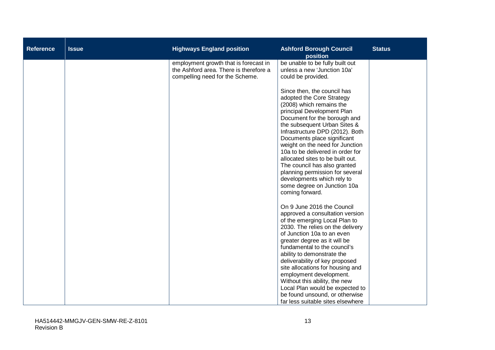| <b>Reference</b> | <b>Issue</b> | <b>Highways England position</b>                                                                                   | <b>Ashford Borough Council</b><br>position                                                                                                                                                                                                                                                                                                                      | <b>Status</b> |
|------------------|--------------|--------------------------------------------------------------------------------------------------------------------|-----------------------------------------------------------------------------------------------------------------------------------------------------------------------------------------------------------------------------------------------------------------------------------------------------------------------------------------------------------------|---------------|
|                  |              | employment growth that is forecast in<br>the Ashford area. There is therefore a<br>compelling need for the Scheme. | be unable to be fully built out<br>unless a new 'Junction 10a'<br>could be provided.<br>Since then, the council has<br>adopted the Core Strategy<br>(2008) which remains the<br>principal Development Plan<br>Document for the borough and<br>the subsequent Urban Sites &<br>Infrastructure DPD (2012). Both                                                   |               |
|                  |              |                                                                                                                    | Documents place significant<br>weight on the need for Junction<br>10a to be delivered in order for<br>allocated sites to be built out.<br>The council has also granted<br>planning permission for several<br>developments which rely to<br>some degree on Junction 10a<br>coming forward.                                                                       |               |
|                  |              |                                                                                                                    | On 9 June 2016 the Council<br>approved a consultation version<br>of the emerging Local Plan to<br>2030. The relies on the delivery<br>of Junction 10a to an even<br>greater degree as it will be<br>fundamental to the council's<br>ability to demonstrate the<br>deliverability of key proposed<br>site allocations for housing and<br>employment development. |               |
|                  |              |                                                                                                                    | Without this ability, the new<br>Local Plan would be expected to<br>be found unsound, or otherwise<br>far less suitable sites elsewhere                                                                                                                                                                                                                         |               |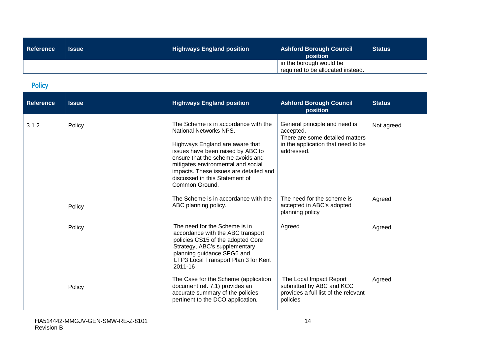| Reference | <b>Issue</b> | <b>Highways England position</b> | <b>Ashford Borough Council</b><br>position                   | <b>Status</b> |
|-----------|--------------|----------------------------------|--------------------------------------------------------------|---------------|
|           |              |                                  | in the borough would be<br>required to be allocated instead. |               |

# Policy

| <b>Reference</b> | <b>Issue</b> | <b>Highways England position</b>                                                                                                                                                                                                                                                                                | <b>Ashford Borough Council</b><br>position                                                                                        | <b>Status</b> |
|------------------|--------------|-----------------------------------------------------------------------------------------------------------------------------------------------------------------------------------------------------------------------------------------------------------------------------------------------------------------|-----------------------------------------------------------------------------------------------------------------------------------|---------------|
| 3.1.2            | Policy       | The Scheme is in accordance with the<br>National Networks NPS.<br>Highways England are aware that<br>issues have been raised by ABC to<br>ensure that the scheme avoids and<br>mitigates environmental and social<br>impacts. These issues are detailed and<br>discussed in this Statement of<br>Common Ground. | General principle and need is<br>accepted.<br>There are some detailed matters<br>in the application that need to be<br>addressed. | Not agreed    |
|                  | Policy       | The Scheme is in accordance with the<br>ABC planning policy.                                                                                                                                                                                                                                                    | The need for the scheme is<br>accepted in ABC's adopted<br>planning policy                                                        | Agreed        |
|                  | Policy       | The need for the Scheme is in<br>accordance with the ABC transport<br>policies CS15 of the adopted Core<br>Strategy, ABC's supplementary<br>planning guidance SPG6 and<br>LTP3 Local Transport Plan 3 for Kent<br>2011-16                                                                                       | Agreed                                                                                                                            | Agreed        |
|                  | Policy       | The Case for the Scheme (application<br>document ref. 7.1) provides an<br>accurate summary of the policies<br>pertinent to the DCO application.                                                                                                                                                                 | The Local Impact Report<br>submitted by ABC and KCC<br>provides a full list of the relevant<br>policies                           | Agreed        |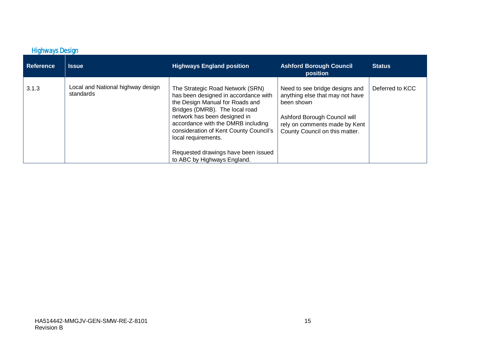# Highways Design

| Reference | <b>Issue</b>                                   | <b>Highways England position</b>                                                                                                                                                                                                                                                     | <b>Ashford Borough Council</b><br>position                                                                                                                                         | <b>Status</b>   |
|-----------|------------------------------------------------|--------------------------------------------------------------------------------------------------------------------------------------------------------------------------------------------------------------------------------------------------------------------------------------|------------------------------------------------------------------------------------------------------------------------------------------------------------------------------------|-----------------|
| 3.1.3     | Local and National highway design<br>standards | The Strategic Road Network (SRN)<br>has been designed in accordance with<br>the Design Manual for Roads and<br>Bridges (DMRB). The local road<br>network has been designed in<br>accordance with the DMRB including<br>consideration of Kent County Council's<br>local requirements. | Need to see bridge designs and<br>anything else that may not have<br>been shown<br>Ashford Borough Council will<br>rely on comments made by Kent<br>County Council on this matter. | Deferred to KCC |
|           |                                                | Requested drawings have been issued<br>to ABC by Highways England.                                                                                                                                                                                                                   |                                                                                                                                                                                    |                 |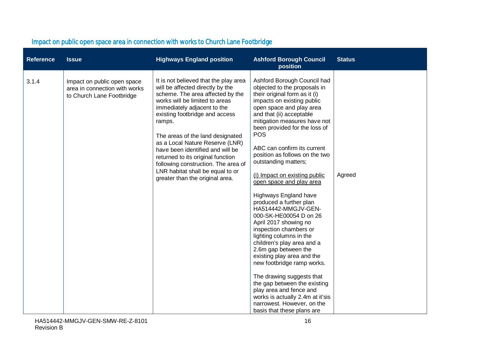| <b>Reference</b> | <b>Issue</b>                                                                              | <b>Highways England position</b>                                                                                                                                                                                                                                                                                                                                                                                                                                                         | <b>Ashford Borough Council</b><br>position                                                                                                                                                                                                                                                                                                                                                                                                                                                                                                                                                                                                                                                                                                                                                                                                                                                                           | <b>Status</b> |
|------------------|-------------------------------------------------------------------------------------------|------------------------------------------------------------------------------------------------------------------------------------------------------------------------------------------------------------------------------------------------------------------------------------------------------------------------------------------------------------------------------------------------------------------------------------------------------------------------------------------|----------------------------------------------------------------------------------------------------------------------------------------------------------------------------------------------------------------------------------------------------------------------------------------------------------------------------------------------------------------------------------------------------------------------------------------------------------------------------------------------------------------------------------------------------------------------------------------------------------------------------------------------------------------------------------------------------------------------------------------------------------------------------------------------------------------------------------------------------------------------------------------------------------------------|---------------|
| 3.1.4            | Impact on public open space<br>area in connection with works<br>to Church Lane Footbridge | It is not believed that the play area<br>will be affected directly by the<br>scheme. The area affected by the<br>works will be limited to areas<br>immediately adjacent to the<br>existing footbridge and access<br>ramps.<br>The areas of the land designated<br>as a Local Nature Reserve (LNR)<br>have been identified and will be<br>returned to its original function<br>following construction. The area of<br>LNR habitat shall be equal to or<br>greater than the original area. | Ashford Borough Council had<br>objected to the proposals in<br>their original form as it (i)<br>impacts on existing public<br>open space and play area<br>and that (ii) acceptable<br>mitigation measures have not<br>been provided for the loss of<br><b>POS</b><br>ABC can confirm its current<br>position as follows on the two<br>outstanding matters;<br>(i) Impact on existing public<br>open space and play area<br>Highways England have<br>produced a further plan<br>HA514442-MMGJV-GEN-<br>000-SK-HE00054 D on 26<br>April 2017 showing no<br>inspection chambers or<br>lighting columns in the<br>children's play area and a<br>2.6m gap between the<br>existing play area and the<br>new footbridge ramp works.<br>The drawing suggests that<br>the gap between the existing<br>play area and fence and<br>works is actually 2.4m at it'sis<br>narrowest. However, on the<br>basis that these plans are | Agreed        |

### Impact on public open space area in connection with works to Church Lane Footbridge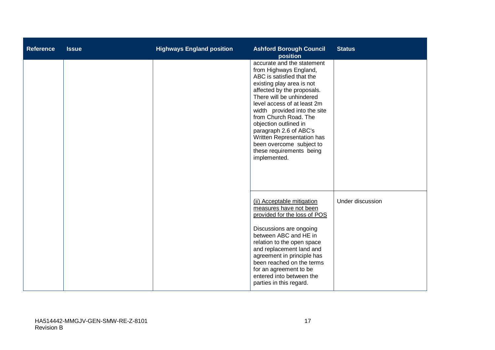| <b>Reference</b> | <b>Issue</b> | <b>Highways England position</b> | <b>Ashford Borough Council</b><br>position                                                                                                                                                                                                                                                                                                                                                                                | <b>Status</b>    |
|------------------|--------------|----------------------------------|---------------------------------------------------------------------------------------------------------------------------------------------------------------------------------------------------------------------------------------------------------------------------------------------------------------------------------------------------------------------------------------------------------------------------|------------------|
|                  |              |                                  | accurate and the statement<br>from Highways England,<br>ABC is satisfied that the<br>existing play area is not<br>affected by the proposals.<br>There will be unhindered<br>level access of at least 2m<br>width provided into the site<br>from Church Road. The<br>objection outlined in<br>paragraph 2.6 of ABC's<br>Written Representation has<br>been overcome subject to<br>these requirements being<br>implemented. |                  |
|                  |              |                                  | (ii) Acceptable mitigation<br>measures have not been<br>provided for the loss of POS<br>Discussions are ongoing<br>between ABC and HE in<br>relation to the open space<br>and replacement land and<br>agreement in principle has<br>been reached on the terms<br>for an agreement to be<br>entered into between the<br>parties in this regard.                                                                            | Under discussion |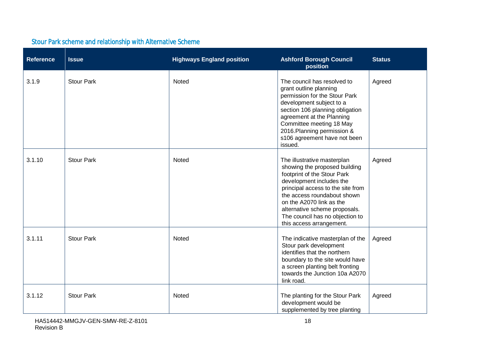### Stour Park scheme and relationship with Alternative Scheme

| <b>Reference</b> | <b>Issue</b>      | <b>Highways England position</b> | <b>Ashford Borough Council</b><br>position                                                                                                                                                                                                                                                                              | <b>Status</b> |
|------------------|-------------------|----------------------------------|-------------------------------------------------------------------------------------------------------------------------------------------------------------------------------------------------------------------------------------------------------------------------------------------------------------------------|---------------|
| 3.1.9            | <b>Stour Park</b> | Noted                            | The council has resolved to<br>grant outline planning<br>permission for the Stour Park<br>development subject to a<br>section 106 planning obligation<br>agreement at the Planning<br>Committee meeting 18 May<br>2016. Planning permission &<br>s106 agreement have not been<br>issued.                                | Agreed        |
| 3.1.10           | <b>Stour Park</b> | Noted                            | The illustrative masterplan<br>showing the proposed building<br>footprint of the Stour Park<br>development includes the<br>principal access to the site from<br>the access roundabout shown<br>on the A2070 link as the<br>alternative scheme proposals.<br>The council has no objection to<br>this access arrangement. | Agreed        |
| 3.1.11           | <b>Stour Park</b> | Noted                            | The indicative masterplan of the<br>Stour park development<br>identifies that the northern<br>boundary to the site would have<br>a screen planting belt fronting<br>towards the Junction 10a A2070<br>link road.                                                                                                        | Agreed        |
| 3.1.12           | <b>Stour Park</b> | Noted                            | The planting for the Stour Park<br>development would be<br>supplemented by tree planting                                                                                                                                                                                                                                | Agreed        |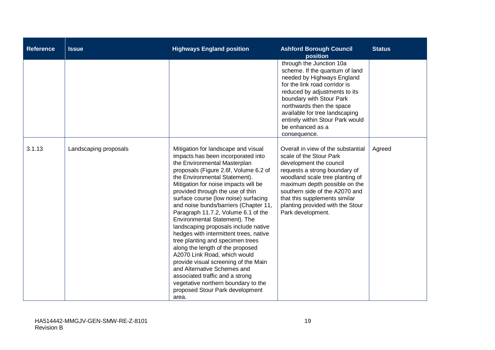| <b>Reference</b> | <b>Issue</b>          | <b>Highways England position</b>                                                                                                                                                                                                                                                                                                                                                                                                                                                                                                                                                                                                                                                                                                                                                                                | <b>Ashford Borough Council</b><br>position                                                                                                                                                                                                                                                                                    | <b>Status</b> |
|------------------|-----------------------|-----------------------------------------------------------------------------------------------------------------------------------------------------------------------------------------------------------------------------------------------------------------------------------------------------------------------------------------------------------------------------------------------------------------------------------------------------------------------------------------------------------------------------------------------------------------------------------------------------------------------------------------------------------------------------------------------------------------------------------------------------------------------------------------------------------------|-------------------------------------------------------------------------------------------------------------------------------------------------------------------------------------------------------------------------------------------------------------------------------------------------------------------------------|---------------|
|                  |                       |                                                                                                                                                                                                                                                                                                                                                                                                                                                                                                                                                                                                                                                                                                                                                                                                                 | through the Junction 10a<br>scheme. If the quantum of land<br>needed by Highways England<br>for the link road corridor is<br>reduced by adjustments to its<br>boundary with Stour Park<br>northwards then the space<br>available for tree landscaping<br>entirely within Stour Park would<br>be enhanced as a<br>consequence. |               |
| 3.1.13           | Landscaping proposals | Mitigation for landscape and visual<br>impacts has been incorporated into<br>the Environmental Masterplan<br>proposals (Figure 2.6f, Volume 6.2 of<br>the Environmental Statement).<br>Mitigation for noise impacts will be<br>provided through the use of thin<br>surface course (low noise) surfacing<br>and noise bunds/barriers (Chapter 11,<br>Paragraph 11.7.2, Volume 6.1 of the<br>Environmental Statement). The<br>landscaping proposals include native<br>hedges with intermittent trees, native<br>tree planting and specimen trees<br>along the length of the proposed<br>A2070 Link Road, which would<br>provide visual screening of the Main<br>and Alternative Schemes and<br>associated traffic and a strong<br>vegetative northern boundary to the<br>proposed Stour Park development<br>area. | Overall in view of the substantial<br>scale of the Stour Park<br>development the council<br>requests a strong boundary of<br>woodland scale tree planting of<br>maximum depth possible on the<br>southern side of the A2070 and<br>that this supplements similar<br>planting provided with the Stour<br>Park development.     | Agreed        |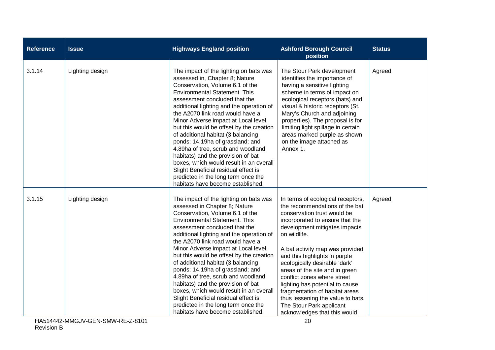| <b>Reference</b> | <b>Issue</b>    | <b>Highways England position</b>                                                                                                                                                                                                                                                                                                                                                                                                                                                                                                                                                                                                                                              | <b>Ashford Borough Council</b><br>position                                                                                                                                                                                                                                                                                                                                                                                                                                                                                         | <b>Status</b> |
|------------------|-----------------|-------------------------------------------------------------------------------------------------------------------------------------------------------------------------------------------------------------------------------------------------------------------------------------------------------------------------------------------------------------------------------------------------------------------------------------------------------------------------------------------------------------------------------------------------------------------------------------------------------------------------------------------------------------------------------|------------------------------------------------------------------------------------------------------------------------------------------------------------------------------------------------------------------------------------------------------------------------------------------------------------------------------------------------------------------------------------------------------------------------------------------------------------------------------------------------------------------------------------|---------------|
| 3.1.14           | Lighting design | The impact of the lighting on bats was<br>assessed in, Chapter 8; Nature<br>Conservation, Volume 6.1 of the<br><b>Environmental Statement. This</b><br>assessment concluded that the<br>additional lighting and the operation of<br>the A2070 link road would have a<br>Minor Adverse impact at Local level,<br>but this would be offset by the creation<br>of additional habitat (3 balancing<br>ponds; 14.19ha of grassland; and<br>4.89ha of tree, scrub and woodland<br>habitats) and the provision of bat<br>boxes, which would result in an overall<br>Slight Beneficial residual effect is<br>predicted in the long term once the<br>habitats have become established. | The Stour Park development<br>identifies the importance of<br>having a sensitive lighting<br>scheme in terms of impact on<br>ecological receptors (bats) and<br>visual & historic receptors (St.<br>Mary's Church and adjoining<br>properties). The proposal is for<br>limiting light spillage in certain<br>areas marked purple as shown<br>on the image attached as<br>Annex 1.                                                                                                                                                  | Agreed        |
| 3.1.15           | Lighting design | The impact of the lighting on bats was<br>assessed in Chapter 8; Nature<br>Conservation, Volume 6.1 of the<br><b>Environmental Statement. This</b><br>assessment concluded that the<br>additional lighting and the operation of<br>the A2070 link road would have a<br>Minor Adverse impact at Local level,<br>but this would be offset by the creation<br>of additional habitat (3 balancing<br>ponds; 14.19ha of grassland; and<br>4.89ha of tree, scrub and woodland<br>habitats) and the provision of bat<br>boxes, which would result in an overall<br>Slight Beneficial residual effect is<br>predicted in the long term once the<br>habitats have become established.  | In terms of ecological receptors,<br>the recommendations of the bat<br>conservation trust would be<br>incorporated to ensure that the<br>development mitigates impacts<br>on wildlife.<br>A bat activity map was provided<br>and this highlights in purple<br>ecologically desirable 'dark'<br>areas of the site and in green<br>conflict zones where street<br>lighting has potential to cause<br>fragmentation of habitat areas<br>thus lessening the value to bats.<br>The Stour Park applicant<br>acknowledges that this would | Agreed        |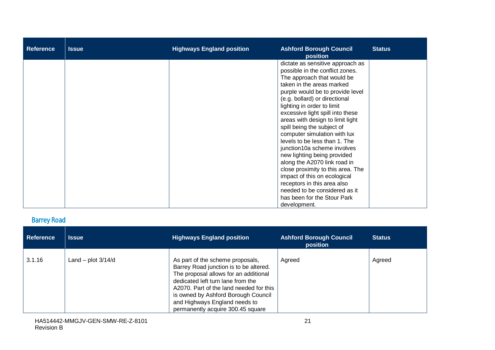| <b>Reference</b> | <b>Issue</b> | <b>Highways England position</b> | <b>Ashford Borough Council</b><br>position                                                                                                                                                                                                                                                                                                                                                                                                                                                                                                                                                                                                                                                 | <b>Status</b> |
|------------------|--------------|----------------------------------|--------------------------------------------------------------------------------------------------------------------------------------------------------------------------------------------------------------------------------------------------------------------------------------------------------------------------------------------------------------------------------------------------------------------------------------------------------------------------------------------------------------------------------------------------------------------------------------------------------------------------------------------------------------------------------------------|---------------|
|                  |              |                                  | dictate as sensitive approach as<br>possible in the conflict zones.<br>The approach that would be<br>taken in the areas marked<br>purple would be to provide level<br>(e.g. bollard) or directional<br>lighting in order to limit<br>excessive light spill into these<br>areas with design to limit light<br>spill being the subject of<br>computer simulation with lux<br>levels to be less than 1. The<br>junction10a scheme involves<br>new lighting being provided<br>along the A2070 link road in<br>close proximity to this area. The<br>impact of this on ecological<br>receptors in this area also<br>needed to be considered as it<br>has been for the Stour Park<br>development. |               |

### Barrey Road

| <b>Reference</b> | <b>Issue</b>           | <b>Highways England position</b>                                                                                                                                                                                                                                                                                 | <b>Ashford Borough Council</b><br>position | <b>Status</b> |
|------------------|------------------------|------------------------------------------------------------------------------------------------------------------------------------------------------------------------------------------------------------------------------------------------------------------------------------------------------------------|--------------------------------------------|---------------|
| 3.1.16           | Land $-$ plot $3/14/d$ | As part of the scheme proposals,<br>Barrey Road junction is to be altered.<br>The proposal allows for an additional<br>dedicated left turn lane from the<br>A2070. Part of the land needed for this<br>is owned by Ashford Borough Council<br>and Highways England needs to<br>permanently acquire 300.45 square | Agreed                                     | Agreed        |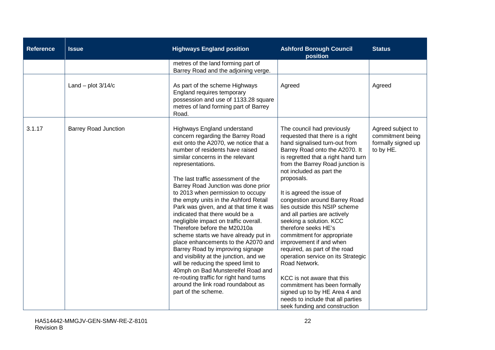| <b>Reference</b> | <b>Issue</b>                | <b>Highways England position</b>                                                                                                                                                                                                                                                                                                                                                                                                                                                                                                                                                                                                                                                                                                                                                                                                                                         | <b>Ashford Borough Council</b><br>position                                                                                                                                                                                                                                                                                                                                                                                                                                                                                                                                                                                                                                                                                                                    | <b>Status</b>                                                            |
|------------------|-----------------------------|--------------------------------------------------------------------------------------------------------------------------------------------------------------------------------------------------------------------------------------------------------------------------------------------------------------------------------------------------------------------------------------------------------------------------------------------------------------------------------------------------------------------------------------------------------------------------------------------------------------------------------------------------------------------------------------------------------------------------------------------------------------------------------------------------------------------------------------------------------------------------|---------------------------------------------------------------------------------------------------------------------------------------------------------------------------------------------------------------------------------------------------------------------------------------------------------------------------------------------------------------------------------------------------------------------------------------------------------------------------------------------------------------------------------------------------------------------------------------------------------------------------------------------------------------------------------------------------------------------------------------------------------------|--------------------------------------------------------------------------|
|                  |                             | metres of the land forming part of<br>Barrey Road and the adjoining verge.                                                                                                                                                                                                                                                                                                                                                                                                                                                                                                                                                                                                                                                                                                                                                                                               |                                                                                                                                                                                                                                                                                                                                                                                                                                                                                                                                                                                                                                                                                                                                                               |                                                                          |
|                  | Land - plot $3/14/c$        | As part of the scheme Highways<br>England requires temporary<br>possession and use of 1133.28 square<br>metres of land forming part of Barrey<br>Road.                                                                                                                                                                                                                                                                                                                                                                                                                                                                                                                                                                                                                                                                                                                   | Agreed                                                                                                                                                                                                                                                                                                                                                                                                                                                                                                                                                                                                                                                                                                                                                        | Agreed                                                                   |
| 3.1.17           | <b>Barrey Road Junction</b> | Highways England understand<br>concern regarding the Barrey Road<br>exit onto the A2070, we notice that a<br>number of residents have raised<br>similar concerns in the relevant<br>representations.<br>The last traffic assessment of the<br>Barrey Road Junction was done prior<br>to 2013 when permission to occupy<br>the empty units in the Ashford Retail<br>Park was given, and at that time it was<br>indicated that there would be a<br>negligible impact on traffic overall.<br>Therefore before the M20J10a<br>scheme starts we have already put in<br>place enhancements to the A2070 and<br>Barrey Road by improving signage<br>and visibility at the junction, and we<br>will be reducing the speed limit to<br>40mph on Bad Munstereifel Road and<br>re-routing traffic for right hand turns<br>around the link road roundabout as<br>part of the scheme. | The council had previously<br>requested that there is a right<br>hand signalised turn-out from<br>Barrey Road onto the A2070. It<br>is regretted that a right hand turn<br>from the Barrey Road junction is<br>not included as part the<br>proposals.<br>It is agreed the issue of<br>congestion around Barrey Road<br>lies outside this NSIP scheme<br>and all parties are actively<br>seeking a solution. KCC<br>therefore seeks HE's<br>commitment for appropriate<br>improvement if and when<br>required, as part of the road<br>operation service on its Strategic<br>Road Network.<br>KCC is not aware that this<br>commitment has been formally<br>signed up to by HE Area 4 and<br>needs to include that all parties<br>seek funding and construction | Agreed subject to<br>commitment being<br>formally signed up<br>to by HE. |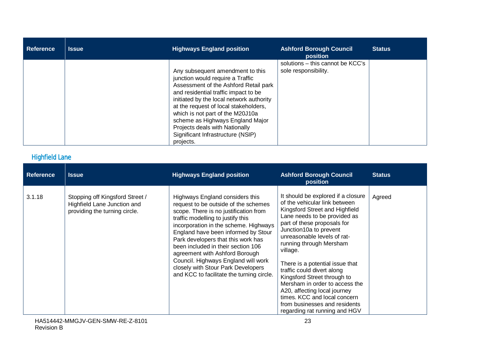| <b>Reference</b> | <b>Issue</b> | <b>Highways England position</b>                                                                                                                                                                                                                                                                                                                                                                       | <b>Ashford Borough Council</b><br>position               | <b>Status</b> |
|------------------|--------------|--------------------------------------------------------------------------------------------------------------------------------------------------------------------------------------------------------------------------------------------------------------------------------------------------------------------------------------------------------------------------------------------------------|----------------------------------------------------------|---------------|
|                  |              | Any subsequent amendment to this<br>junction would require a Traffic<br>Assessment of the Ashford Retail park<br>and residential traffic impact to be<br>initiated by the local network authority<br>at the request of local stakeholders,<br>which is not part of the M20J10a<br>scheme as Highways England Major<br>Projects deals with Nationally<br>Significant Infrastructure (NSIP)<br>projects. | solutions - this cannot be KCC's<br>sole responsibility. |               |

### Highfield Lane

| <b>Reference</b> | <b>Issue</b>                                                                                    | <b>Highways England position</b>                                                                                                                                                                                                                                                                                                                                                                                                                                              | <b>Ashford Borough Council</b><br>position                                                                                                                                                                                                                                                                                                                                                                                                                                                                                               | <b>Status</b> |
|------------------|-------------------------------------------------------------------------------------------------|-------------------------------------------------------------------------------------------------------------------------------------------------------------------------------------------------------------------------------------------------------------------------------------------------------------------------------------------------------------------------------------------------------------------------------------------------------------------------------|------------------------------------------------------------------------------------------------------------------------------------------------------------------------------------------------------------------------------------------------------------------------------------------------------------------------------------------------------------------------------------------------------------------------------------------------------------------------------------------------------------------------------------------|---------------|
| 3.1.18           | Stopping off Kingsford Street /<br>Highfield Lane Junction and<br>providing the turning circle. | Highways England considers this<br>request to be outside of the schemes<br>scope. There is no justification from<br>traffic modelling to justify this<br>incorporation in the scheme. Highways<br>England have been informed by Stour<br>Park developers that this work has<br>been included in their section 106<br>agreement with Ashford Borough<br>Council. Highways England will work<br>closely with Stour Park Developers<br>and KCC to facilitate the turning circle. | It should be explored if a closure<br>of the vehicular link between<br>Kingsford Street and Highfield<br>Lane needs to be provided as<br>part of these proposals for<br>Junction10a to prevent<br>unreasonable levels of rat-<br>running through Mersham<br>village.<br>There is a potential issue that<br>traffic could divert along<br>Kingsford Street through to<br>Mersham in order to access the<br>A20, affecting local journey<br>times. KCC and local concern<br>from businesses and residents<br>regarding rat running and HGV | Agreed        |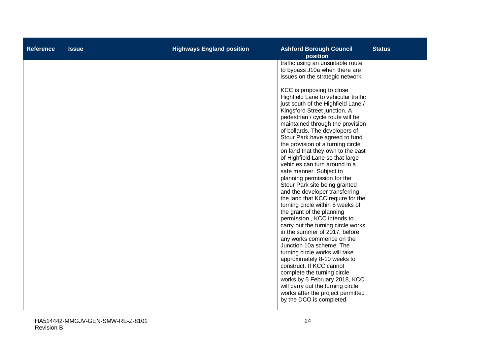| <b>Reference</b> | <b>Issue</b> | <b>Highways England position</b> | <b>Ashford Borough Council</b><br>position                                                                                                                                                                                                                                                                                                                                                                                                                                                                                                                                                                                                                                                                                                                                                                                                                                                                                                                                                                                                                                                                                                                                                                     | <b>Status</b> |
|------------------|--------------|----------------------------------|----------------------------------------------------------------------------------------------------------------------------------------------------------------------------------------------------------------------------------------------------------------------------------------------------------------------------------------------------------------------------------------------------------------------------------------------------------------------------------------------------------------------------------------------------------------------------------------------------------------------------------------------------------------------------------------------------------------------------------------------------------------------------------------------------------------------------------------------------------------------------------------------------------------------------------------------------------------------------------------------------------------------------------------------------------------------------------------------------------------------------------------------------------------------------------------------------------------|---------------|
|                  |              |                                  | traffic using an unsuitable route<br>to bypass J10a when there are<br>issues on the strategic network.<br>KCC is proposing to close<br>Highfield Lane to vehicular traffic<br>just south of the Highfield Lane /<br>Kingsford Street junction. A<br>pedestrian / cycle route will be<br>maintained through the provision<br>of bollards. The developers of<br>Stour Park have agreed to fund<br>the provision of a turning circle<br>on land that they own to the east<br>of Highfield Lane so that large<br>vehicles can turn around in a<br>safe manner. Subject to<br>planning permission for the<br>Stour Park site being granted<br>and the developer transferring<br>the land that KCC require for the<br>turning circle within 8 weeks of<br>the grant of the planning<br>permission, KCC intends to<br>carry out the turning circle works<br>in the summer of 2017, before<br>any works commence on the<br>Junction 10a scheme. The<br>turning circle works will take<br>approximately 8-10 weeks to<br>construct. If KCC cannot<br>complete the turning circle<br>works by 5 February 2018, KCC<br>will carry out the turning circle<br>works after the project permitted<br>by the DCO is completed. |               |
|                  |              |                                  |                                                                                                                                                                                                                                                                                                                                                                                                                                                                                                                                                                                                                                                                                                                                                                                                                                                                                                                                                                                                                                                                                                                                                                                                                |               |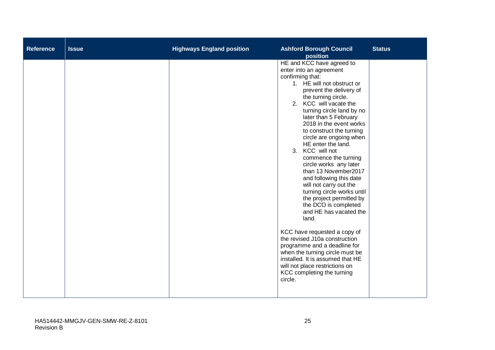| <b>Reference</b> | <b>Issue</b> | <b>Highways England position</b> | <b>Ashford Borough Council</b><br>position                                                                                                                                                                                                                                                                                                                                                                                                                                                                                                                                                                                                                                                                                                                                                                                                                                 | <b>Status</b> |
|------------------|--------------|----------------------------------|----------------------------------------------------------------------------------------------------------------------------------------------------------------------------------------------------------------------------------------------------------------------------------------------------------------------------------------------------------------------------------------------------------------------------------------------------------------------------------------------------------------------------------------------------------------------------------------------------------------------------------------------------------------------------------------------------------------------------------------------------------------------------------------------------------------------------------------------------------------------------|---------------|
|                  |              |                                  | HE and KCC have agreed to<br>enter into an agreement<br>confirming that:<br>1. HE will not obstruct or<br>prevent the delivery of<br>the turning circle.<br>2. KCC will vacate the<br>turning circle land by no<br>later than 5 February<br>2018 in the event works<br>to construct the turning<br>circle are ongoing when<br>HE enter the land.<br>3. KCC will not<br>commence the turning<br>circle works any later<br>than 13 November2017<br>and following this date<br>will not carry out the<br>turning circle works until<br>the project permitted by<br>the DCO is completed<br>and HE has vacated the<br>land.<br>KCC have requested a copy of<br>the revised J10a construction<br>programme and a deadline for<br>when the turning circle must be<br>installed. It is assumed that HE<br>will not place restrictions on<br>KCC completing the turning<br>circle. |               |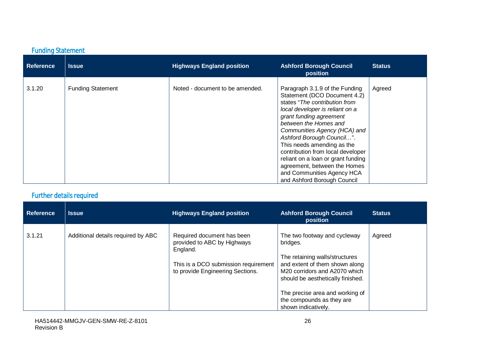### Funding Statement

| <b>Reference</b> | <b>Issue</b>             | <b>Highways England position</b> | <b>Ashford Borough Council</b><br>position                                                                                                                                                                                                                                                                                                                                                                                                                | <b>Status</b> |
|------------------|--------------------------|----------------------------------|-----------------------------------------------------------------------------------------------------------------------------------------------------------------------------------------------------------------------------------------------------------------------------------------------------------------------------------------------------------------------------------------------------------------------------------------------------------|---------------|
| 3.1.20           | <b>Funding Statement</b> | Noted - document to be amended.  | Paragraph 3.1.9 of the Funding<br>Statement (DCO Document 4.2)<br>states "The contribution from<br>local developer is reliant on a<br>grant funding agreement<br>between the Homes and<br>Communities Agency (HCA) and<br>Ashford Borough Council".<br>This needs amending as the<br>contribution from local developer<br>reliant on a loan or grant funding<br>agreement, between the Homes<br>and Communities Agency HCA<br>and Ashford Borough Council | Agreed        |

### Further details required

| <b>Reference</b> | <b>Issue</b>                       | <b>Highways England position</b>                                                                                                                  | <b>Ashford Borough Council</b><br>position                                                                                                                                         | <b>Status</b> |
|------------------|------------------------------------|---------------------------------------------------------------------------------------------------------------------------------------------------|------------------------------------------------------------------------------------------------------------------------------------------------------------------------------------|---------------|
| 3.1.21           | Additional details required by ABC | Required document has been<br>provided to ABC by Highways<br>England.<br>This is a DCO submission requirement<br>to provide Engineering Sections. | The two footway and cycleway<br>bridges.<br>The retaining walls/structures<br>and extent of them shown along<br>M20 corridors and A2070 which<br>should be aesthetically finished. | Agreed        |
|                  |                                    |                                                                                                                                                   | The precise area and working of<br>the compounds as they are<br>shown indicatively.                                                                                                |               |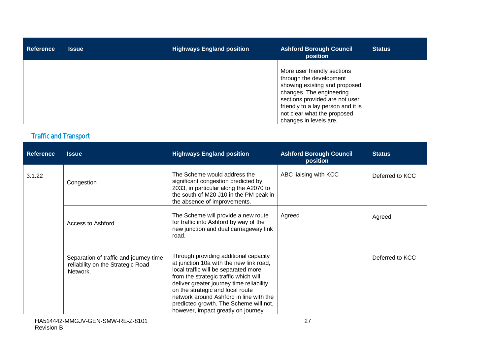| <b>Reference</b> | <b>Issue</b> | <b>Highways England position</b> | <b>Ashford Borough Council</b><br>position                                                                                                                                                                                                           | <b>Status</b> |
|------------------|--------------|----------------------------------|------------------------------------------------------------------------------------------------------------------------------------------------------------------------------------------------------------------------------------------------------|---------------|
|                  |              |                                  | More user friendly sections<br>through the development<br>showing existing and proposed<br>changes. The engineering<br>sections provided are not user<br>friendly to a lay person and it is<br>not clear what the proposed<br>changes in levels are. |               |

### Traffic and Transport

| <b>Reference</b> | <b>Issue</b>                                                                            | <b>Highways England position</b>                                                                                                                                                                                                                                                                                                                                             | <b>Ashford Borough Council</b><br>position | <b>Status</b>   |
|------------------|-----------------------------------------------------------------------------------------|------------------------------------------------------------------------------------------------------------------------------------------------------------------------------------------------------------------------------------------------------------------------------------------------------------------------------------------------------------------------------|--------------------------------------------|-----------------|
| 3.1.22           | Congestion                                                                              | The Scheme would address the<br>significant congestion predicted by<br>2033, in particular along the A2070 to<br>the south of M20 J10 in the PM peak in<br>the absence of improvements.                                                                                                                                                                                      | ABC liaising with KCC                      | Deferred to KCC |
|                  | Access to Ashford                                                                       | The Scheme will provide a new route<br>for traffic into Ashford by way of the<br>new junction and dual carriageway link<br>road.                                                                                                                                                                                                                                             | Agreed                                     | Agreed          |
|                  | Separation of traffic and journey time<br>reliability on the Strategic Road<br>Network. | Through providing additional capacity<br>at junction 10a with the new link road,<br>local traffic will be separated more<br>from the strategic traffic which will<br>deliver greater journey time reliability<br>on the strategic and local route<br>network around Ashford in line with the<br>predicted growth. The Scheme will not,<br>however, impact greatly on journey |                                            | Deferred to KCC |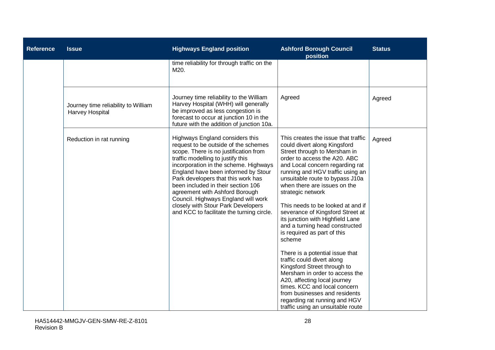| <b>Reference</b> | <b>Issue</b>                                           | <b>Highways England position</b>                                                                                                                                                                                                                                                                                                                                                                                                                                              | <b>Ashford Borough Council</b><br>position                                                                                                                                                                                                                                                                                                                                                                                                                                                                                                                                                                                                                                                                                                                                                          | <b>Status</b> |
|------------------|--------------------------------------------------------|-------------------------------------------------------------------------------------------------------------------------------------------------------------------------------------------------------------------------------------------------------------------------------------------------------------------------------------------------------------------------------------------------------------------------------------------------------------------------------|-----------------------------------------------------------------------------------------------------------------------------------------------------------------------------------------------------------------------------------------------------------------------------------------------------------------------------------------------------------------------------------------------------------------------------------------------------------------------------------------------------------------------------------------------------------------------------------------------------------------------------------------------------------------------------------------------------------------------------------------------------------------------------------------------------|---------------|
|                  |                                                        | time reliability for through traffic on the<br>M20.                                                                                                                                                                                                                                                                                                                                                                                                                           |                                                                                                                                                                                                                                                                                                                                                                                                                                                                                                                                                                                                                                                                                                                                                                                                     |               |
|                  | Journey time reliability to William<br>Harvey Hospital | Journey time reliability to the William<br>Harvey Hospital (WHH) will generally<br>be improved as less congestion is<br>forecast to occur at junction 10 in the<br>future with the addition of junction 10a.                                                                                                                                                                                                                                                                  | Agreed                                                                                                                                                                                                                                                                                                                                                                                                                                                                                                                                                                                                                                                                                                                                                                                              | Agreed        |
|                  | Reduction in rat running                               | Highways England considers this<br>request to be outside of the schemes<br>scope. There is no justification from<br>traffic modelling to justify this<br>incorporation in the scheme. Highways<br>England have been informed by Stour<br>Park developers that this work has<br>been included in their section 106<br>agreement with Ashford Borough<br>Council. Highways England will work<br>closely with Stour Park Developers<br>and KCC to facilitate the turning circle. | This creates the issue that traffic<br>could divert along Kingsford<br>Street through to Mersham in<br>order to access the A20. ABC<br>and Local concern regarding rat<br>running and HGV traffic using an<br>unsuitable route to bypass J10a<br>when there are issues on the<br>strategic network<br>This needs to be looked at and if<br>severance of Kingsford Street at<br>its junction with Highfield Lane<br>and a turning head constructed<br>is required as part of this<br>scheme<br>There is a potential issue that<br>traffic could divert along<br>Kingsford Street through to<br>Mersham in order to access the<br>A20, affecting local journey<br>times. KCC and local concern<br>from businesses and residents<br>regarding rat running and HGV<br>traffic using an unsuitable route | Agreed        |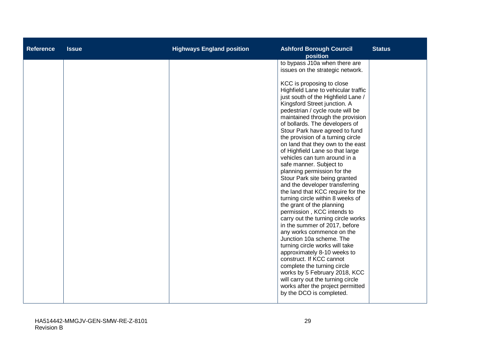| <b>Reference</b> | <b>Issue</b> | <b>Highways England position</b> | <b>Ashford Borough Council</b><br>position                                                                                                                                                                                                                                                                                                                                                                                                                                                                                                                                                                                                                                                                                                                                                                                                                                                                                                                                                                                                                                                                                                                                | <b>Status</b> |
|------------------|--------------|----------------------------------|---------------------------------------------------------------------------------------------------------------------------------------------------------------------------------------------------------------------------------------------------------------------------------------------------------------------------------------------------------------------------------------------------------------------------------------------------------------------------------------------------------------------------------------------------------------------------------------------------------------------------------------------------------------------------------------------------------------------------------------------------------------------------------------------------------------------------------------------------------------------------------------------------------------------------------------------------------------------------------------------------------------------------------------------------------------------------------------------------------------------------------------------------------------------------|---------------|
|                  |              |                                  | to bypass J10a when there are<br>issues on the strategic network.<br>KCC is proposing to close<br>Highfield Lane to vehicular traffic<br>just south of the Highfield Lane /<br>Kingsford Street junction. A<br>pedestrian / cycle route will be<br>maintained through the provision<br>of bollards. The developers of<br>Stour Park have agreed to fund<br>the provision of a turning circle<br>on land that they own to the east<br>of Highfield Lane so that large<br>vehicles can turn around in a<br>safe manner. Subject to<br>planning permission for the<br>Stour Park site being granted<br>and the developer transferring<br>the land that KCC require for the<br>turning circle within 8 weeks of<br>the grant of the planning<br>permission, KCC intends to<br>carry out the turning circle works<br>in the summer of 2017, before<br>any works commence on the<br>Junction 10a scheme. The<br>turning circle works will take<br>approximately 8-10 weeks to<br>construct. If KCC cannot<br>complete the turning circle<br>works by 5 February 2018, KCC<br>will carry out the turning circle<br>works after the project permitted<br>by the DCO is completed. |               |
|                  |              |                                  |                                                                                                                                                                                                                                                                                                                                                                                                                                                                                                                                                                                                                                                                                                                                                                                                                                                                                                                                                                                                                                                                                                                                                                           |               |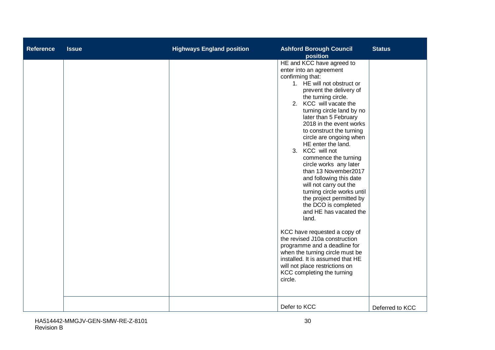| <b>Reference</b> | <b>Issue</b> | <b>Highways England position</b> | <b>Ashford Borough Council</b><br>position                                                                                                                                                                                                                                                                                                                                                                                                                                                                                                                                                                                                                                                                                                                                                                                                                                 | <b>Status</b>   |
|------------------|--------------|----------------------------------|----------------------------------------------------------------------------------------------------------------------------------------------------------------------------------------------------------------------------------------------------------------------------------------------------------------------------------------------------------------------------------------------------------------------------------------------------------------------------------------------------------------------------------------------------------------------------------------------------------------------------------------------------------------------------------------------------------------------------------------------------------------------------------------------------------------------------------------------------------------------------|-----------------|
|                  |              |                                  | HE and KCC have agreed to<br>enter into an agreement<br>confirming that:<br>1. HE will not obstruct or<br>prevent the delivery of<br>the turning circle.<br>2. KCC will vacate the<br>turning circle land by no<br>later than 5 February<br>2018 in the event works<br>to construct the turning<br>circle are ongoing when<br>HE enter the land.<br>3. KCC will not<br>commence the turning<br>circle works any later<br>than 13 November2017<br>and following this date<br>will not carry out the<br>turning circle works until<br>the project permitted by<br>the DCO is completed<br>and HE has vacated the<br>land.<br>KCC have requested a copy of<br>the revised J10a construction<br>programme and a deadline for<br>when the turning circle must be<br>installed. It is assumed that HE<br>will not place restrictions on<br>KCC completing the turning<br>circle. |                 |
|                  |              |                                  | Defer to KCC                                                                                                                                                                                                                                                                                                                                                                                                                                                                                                                                                                                                                                                                                                                                                                                                                                                               | Deferred to KCC |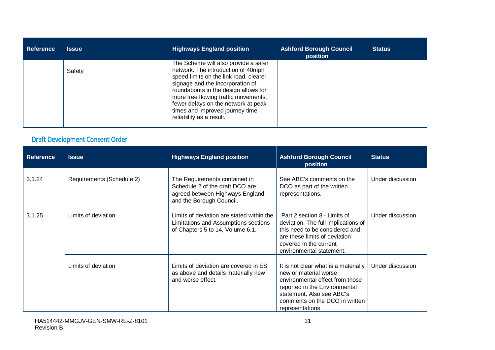| <b>Reference</b> | <b>Issue</b> | <b>Highways England position</b>                                                                                                                                                                                                                                                                                                               | <b>Ashford Borough Council</b><br>position | <b>Status</b> |
|------------------|--------------|------------------------------------------------------------------------------------------------------------------------------------------------------------------------------------------------------------------------------------------------------------------------------------------------------------------------------------------------|--------------------------------------------|---------------|
|                  | Safety       | The Scheme will also provide a safer<br>network. The introduction of 40mph<br>speed limits on the link road, clearer<br>signage and the incorporation of<br>roundabouts in the design allows for<br>more free flowing traffic movements,<br>fewer delays on the network at peak<br>times and improved journey time<br>reliability as a result. |                                            |               |

### Draft Development Consent Order

| <b>Reference</b> | <b>Issue</b>              | <b>Highways England position</b>                                                                                                | <b>Ashford Borough Council</b><br>position                                                                                                                                                                          | <b>Status</b>    |
|------------------|---------------------------|---------------------------------------------------------------------------------------------------------------------------------|---------------------------------------------------------------------------------------------------------------------------------------------------------------------------------------------------------------------|------------------|
| 3.1.24           | Requirements (Schedule 2) | The Requirements contained in<br>Schedule 2 of the draft DCO are<br>agreed between Highways England<br>and the Borough Council. | See ABC's comments on the<br>DCO as part of the written<br>representations.                                                                                                                                         | Under discussion |
| 3.1.25           | Limits of deviation       | Limits of deviation are stated within the<br>Limitations and Assumptions sections<br>of Chapters 5 to 14, Volume 6.1.           | Part 2 section 8 - Limits of<br>deviation. The full implications of<br>this need to be considered and<br>are these limits of deviation<br>covered in the current<br>environmental statement.                        | Under discussion |
|                  | Limits of deviation       | Limits of deviation are covered in ES<br>as above and details materially new<br>and worse effect.                               | It is not clear what is a materially<br>new or material worse<br>environmental effect from those<br>reported in the Environmental<br>statement. Also see ABC's<br>comments on the DCO in written<br>representations | Under discussion |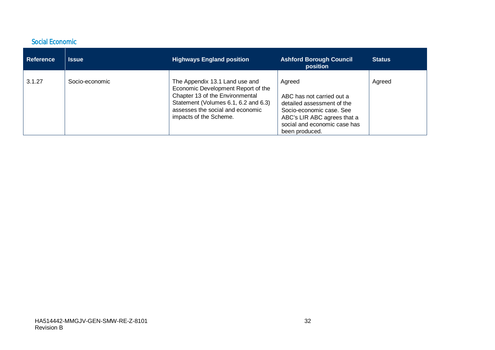#### Social Economic

| <b>Reference</b> | <b>Issue</b>   | <b>Highways England position</b>                                                                                                                                                                              | <b>Ashford Borough Council</b><br>position                                                                                                                                     | <b>Status</b> |
|------------------|----------------|---------------------------------------------------------------------------------------------------------------------------------------------------------------------------------------------------------------|--------------------------------------------------------------------------------------------------------------------------------------------------------------------------------|---------------|
| 3.1.27           | Socio-economic | The Appendix 13.1 Land use and<br>Economic Development Report of the<br>Chapter 13 of the Environmental<br>Statement (Volumes 6.1, 6.2 and 6.3)<br>assesses the social and economic<br>impacts of the Scheme. | Agreed<br>ABC has not carried out a<br>detailed assessment of the<br>Socio-economic case, See<br>ABC's LIR ABC agrees that a<br>social and economic case has<br>been produced. | Agreed        |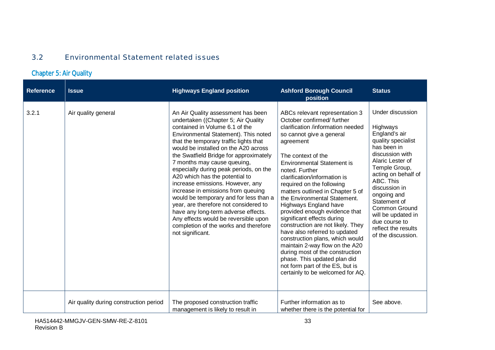#### <span id="page-32-0"></span>3.2 Environmental Statement related issues

# Chapter 5: Air Quality

| <b>Reference</b> | <b>Issue</b>                           | <b>Highways England position</b>                                                                                                                                                                                                                                                                                                                                                                                                                                                                                                                                                                                                                                                                    | <b>Ashford Borough Council</b><br>position                                                                                                                                                                                                                                                                                                                                                                                                                                                                                                                                                                                                                                                                                           | <b>Status</b>                                                                                                                                                                                                                                                                                                                       |
|------------------|----------------------------------------|-----------------------------------------------------------------------------------------------------------------------------------------------------------------------------------------------------------------------------------------------------------------------------------------------------------------------------------------------------------------------------------------------------------------------------------------------------------------------------------------------------------------------------------------------------------------------------------------------------------------------------------------------------------------------------------------------------|--------------------------------------------------------------------------------------------------------------------------------------------------------------------------------------------------------------------------------------------------------------------------------------------------------------------------------------------------------------------------------------------------------------------------------------------------------------------------------------------------------------------------------------------------------------------------------------------------------------------------------------------------------------------------------------------------------------------------------------|-------------------------------------------------------------------------------------------------------------------------------------------------------------------------------------------------------------------------------------------------------------------------------------------------------------------------------------|
| 3.2.1            | Air quality general                    | An Air Quality assessment has been<br>undertaken ((Chapter 5; Air Quality<br>contained in Volume 6.1 of the<br>Environmental Statement). This noted<br>that the temporary traffic lights that<br>would be installed on the A20 across<br>the Swatfield Bridge for approximately<br>7 months may cause queuing,<br>especially during peak periods, on the<br>A20 which has the potential to<br>increase emissions. However, any<br>increase in emissions from queuing<br>would be temporary and for less than a<br>year, are therefore not considered to<br>have any long-term adverse effects.<br>Any effects would be reversible upon<br>completion of the works and therefore<br>not significant. | ABCs relevant representation 3<br>October confirmed/further<br>clarification /information needed<br>so cannot give a general<br>agreement<br>The context of the<br><b>Environmental Statement is</b><br>noted. Further<br>clarification/information is<br>required on the following<br>matters outlined in Chapter 5 of<br>the Environmental Statement.<br>Highways England have<br>provided enough evidence that<br>significant effects during<br>construction are not likely. They<br>have also referred to updated<br>construction plans, which would<br>maintain 2-way flow on the A20<br>during most of the construction<br>phase. This updated plan did<br>not form part of the ES, but is<br>certainly to be welcomed for AQ. | Under discussion<br>Highways<br>England's air<br>quality specialist<br>has been in<br>discussion with<br>Alaric Lester of<br>Temple Group,<br>acting on behalf of<br>ABC. This<br>discussion in<br>ongoing and<br>Statement of<br>Common Ground<br>will be updated in<br>due course to<br>reflect the results<br>of the discussion. |
|                  | Air quality during construction period | The proposed construction traffic<br>management is likely to result in                                                                                                                                                                                                                                                                                                                                                                                                                                                                                                                                                                                                                              | Further information as to<br>whether there is the potential for                                                                                                                                                                                                                                                                                                                                                                                                                                                                                                                                                                                                                                                                      | See above.                                                                                                                                                                                                                                                                                                                          |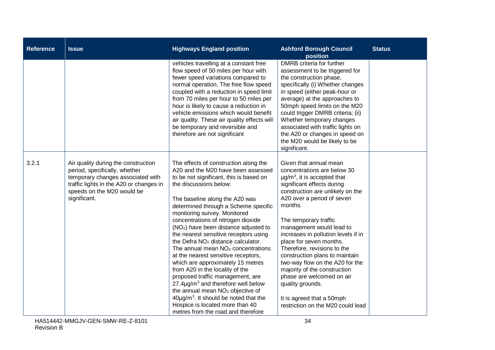| <b>Reference</b> | <b>Issue</b>                                                                                                                                                                                       | <b>Highways England position</b>                                                                                                                                                                                                                                                                                                                                                                                                                                                                                                                                                                                                                                                                                                                                                                                                                                                    | <b>Ashford Borough Council</b><br>position                                                                                                                                                                                                                                                                                                                                                                                                                                                                                                                                                     | <b>Status</b> |
|------------------|----------------------------------------------------------------------------------------------------------------------------------------------------------------------------------------------------|-------------------------------------------------------------------------------------------------------------------------------------------------------------------------------------------------------------------------------------------------------------------------------------------------------------------------------------------------------------------------------------------------------------------------------------------------------------------------------------------------------------------------------------------------------------------------------------------------------------------------------------------------------------------------------------------------------------------------------------------------------------------------------------------------------------------------------------------------------------------------------------|------------------------------------------------------------------------------------------------------------------------------------------------------------------------------------------------------------------------------------------------------------------------------------------------------------------------------------------------------------------------------------------------------------------------------------------------------------------------------------------------------------------------------------------------------------------------------------------------|---------------|
|                  |                                                                                                                                                                                                    | vehicles travelling at a constant free<br>flow speed of 50 miles per hour with<br>fewer speed variations compared to<br>normal operation. The free flow speed<br>coupled with a reduction in speed limit<br>from 70 miles per hour to 50 miles per<br>hour is likely to cause a reduction in<br>vehicle emissions which would benefit<br>air quality. These air quality effects will<br>be temporary and reversible and<br>therefore are not significant                                                                                                                                                                                                                                                                                                                                                                                                                            | DMRB criteria for further<br>assessment to be triggered for<br>the construction phase,<br>specifically (i) Whether changes<br>in speed (either peak-hour or<br>average) at the approaches to<br>50mph speed limits on the M20<br>could trigger DMRB criteria; (ii)<br>Whether temporary changes<br>associated with traffic lights on<br>the A20 or changes in speed on<br>the M20 would be likely to be<br>significant.                                                                                                                                                                        |               |
| 3.2.1            | Air quality during the construction<br>period, specifically, whether<br>temporary changes associated with<br>traffic lights in the A20 or changes in<br>speeds on the M20 would be<br>significant. | The effects of construction along the<br>A20 and the M20 have been assessed<br>to be not significant, this is based on<br>the discussions below:<br>The baseline along the A20 was<br>determined through a Scheme specific<br>monitoring survey. Monitored<br>concentrations of nitrogen dioxide<br>(NO <sub>2</sub> ) have been distance adjusted to<br>the nearest sensitive receptors using<br>the Defra NO <sub>2</sub> distance calculator.<br>The annual mean NO <sub>2</sub> concentrations<br>at the nearest sensitive receptors,<br>which are approximately 15 metres<br>from A20 in the locality of the<br>proposed traffic management, are<br>$27.4\mu$ g/m <sup>3</sup> and therefore well below<br>the annual mean NO <sub>2</sub> objective of<br>$40\mu g/m3$ . It should be noted that the<br>Hospice is located more than 40<br>metres from the road and therefore | Given that annual mean<br>concentrations are below 30<br>$\mu$ g/m <sup>3</sup> , it is accepted that<br>significant effects during<br>construction are unlikely on the<br>A20 over a period of seven<br>months.<br>The temporary traffic<br>management would lead to<br>increases in pollution levels if in<br>place for seven months.<br>Therefore, revisions to the<br>construction plans to maintain<br>two-way flow on the A20 for the<br>majority of the construction<br>phase are welcomed on air<br>quality grounds.<br>It is agreed that a 50mph<br>restriction on the M20 could lead |               |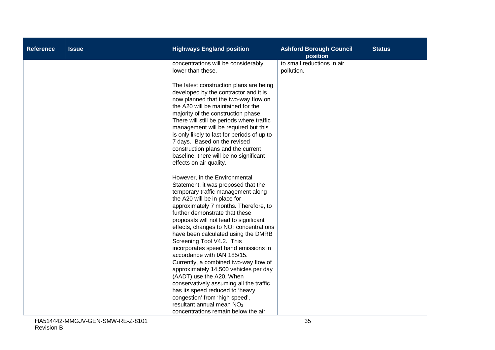| <b>Reference</b> | <b>Issue</b> | <b>Highways England position</b>                                                                                                                                                                                                                                                                                                                                                                                                                                                                                                                                                                                                                             | <b>Ashford Borough Council</b><br>position | <b>Status</b> |
|------------------|--------------|--------------------------------------------------------------------------------------------------------------------------------------------------------------------------------------------------------------------------------------------------------------------------------------------------------------------------------------------------------------------------------------------------------------------------------------------------------------------------------------------------------------------------------------------------------------------------------------------------------------------------------------------------------------|--------------------------------------------|---------------|
|                  |              | concentrations will be considerably<br>lower than these.                                                                                                                                                                                                                                                                                                                                                                                                                                                                                                                                                                                                     | to small reductions in air<br>pollution.   |               |
|                  |              | The latest construction plans are being<br>developed by the contractor and it is<br>now planned that the two-way flow on<br>the A20 will be maintained for the<br>majority of the construction phase.<br>There will still be periods where traffic<br>management will be required but this<br>is only likely to last for periods of up to<br>7 days. Based on the revised<br>construction plans and the current<br>baseline, there will be no significant<br>effects on air quality.                                                                                                                                                                         |                                            |               |
|                  |              | However, in the Environmental<br>Statement, it was proposed that the<br>temporary traffic management along<br>the A20 will be in place for<br>approximately 7 months. Therefore, to<br>further demonstrate that these<br>proposals will not lead to significant<br>effects, changes to NO <sub>2</sub> concentrations<br>have been calculated using the DMRB<br>Screening Tool V4.2. This<br>incorporates speed band emissions in<br>accordance with IAN 185/15.<br>Currently, a combined two-way flow of<br>approximately 14,500 vehicles per day<br>(AADT) use the A20. When<br>conservatively assuming all the traffic<br>has its speed reduced to 'heavy |                                            |               |
|                  |              | congestion' from 'high speed',<br>resultant annual mean NO <sub>2</sub><br>concentrations remain below the air                                                                                                                                                                                                                                                                                                                                                                                                                                                                                                                                               |                                            |               |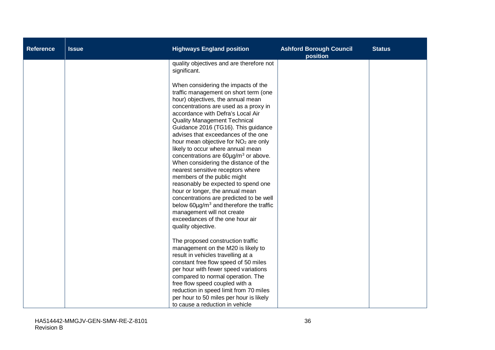| <b>Reference</b> | <b>Issue</b> | <b>Highways England position</b>                                                                                                                                                                                                                                                                                                                                                                                                                                                                                                                                                                                                                                                                                                                                                                                                                | <b>Ashford Borough Council</b><br>position | <b>Status</b> |
|------------------|--------------|-------------------------------------------------------------------------------------------------------------------------------------------------------------------------------------------------------------------------------------------------------------------------------------------------------------------------------------------------------------------------------------------------------------------------------------------------------------------------------------------------------------------------------------------------------------------------------------------------------------------------------------------------------------------------------------------------------------------------------------------------------------------------------------------------------------------------------------------------|--------------------------------------------|---------------|
|                  |              | quality objectives and are therefore not<br>significant.                                                                                                                                                                                                                                                                                                                                                                                                                                                                                                                                                                                                                                                                                                                                                                                        |                                            |               |
|                  |              | When considering the impacts of the<br>traffic management on short term (one<br>hour) objectives, the annual mean<br>concentrations are used as a proxy in<br>accordance with Defra's Local Air<br><b>Quality Management Technical</b><br>Guidance 2016 (TG16). This guidance<br>advises that exceedances of the one<br>hour mean objective for NO <sub>2</sub> are only<br>likely to occur where annual mean<br>concentrations are $60\mu$ g/m <sup>3</sup> or above.<br>When considering the distance of the<br>nearest sensitive receptors where<br>members of the public might<br>reasonably be expected to spend one<br>hour or longer, the annual mean<br>concentrations are predicted to be well<br>below $60\mu g/m^3$ and therefore the traffic<br>management will not create<br>exceedances of the one hour air<br>quality objective. |                                            |               |
|                  |              | The proposed construction traffic<br>management on the M20 is likely to<br>result in vehicles travelling at a<br>constant free flow speed of 50 miles<br>per hour with fewer speed variations<br>compared to normal operation. The<br>free flow speed coupled with a<br>reduction in speed limit from 70 miles<br>per hour to 50 miles per hour is likely<br>to cause a reduction in vehicle                                                                                                                                                                                                                                                                                                                                                                                                                                                    |                                            |               |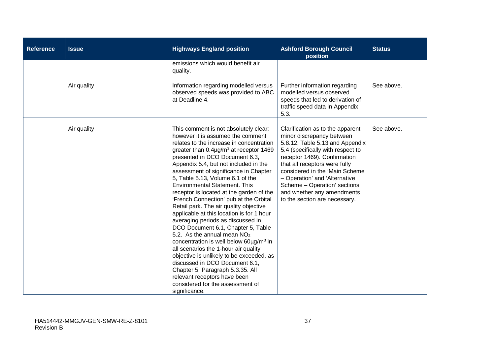| <b>Reference</b> | <b>Issue</b> | <b>Highways England position</b>                                                                                                                                                                                                                                                                                                                                                                                                                                                                                                                                                                                                                                                                                                                                                                                                                                                                                                                                      | <b>Ashford Borough Council</b><br>position                                                                                                                                                                                                                                                                                                                               | <b>Status</b> |
|------------------|--------------|-----------------------------------------------------------------------------------------------------------------------------------------------------------------------------------------------------------------------------------------------------------------------------------------------------------------------------------------------------------------------------------------------------------------------------------------------------------------------------------------------------------------------------------------------------------------------------------------------------------------------------------------------------------------------------------------------------------------------------------------------------------------------------------------------------------------------------------------------------------------------------------------------------------------------------------------------------------------------|--------------------------------------------------------------------------------------------------------------------------------------------------------------------------------------------------------------------------------------------------------------------------------------------------------------------------------------------------------------------------|---------------|
|                  |              | emissions which would benefit air<br>quality.                                                                                                                                                                                                                                                                                                                                                                                                                                                                                                                                                                                                                                                                                                                                                                                                                                                                                                                         |                                                                                                                                                                                                                                                                                                                                                                          |               |
|                  | Air quality  | Information regarding modelled versus<br>observed speeds was provided to ABC<br>at Deadline 4.                                                                                                                                                                                                                                                                                                                                                                                                                                                                                                                                                                                                                                                                                                                                                                                                                                                                        | Further information regarding<br>modelled versus observed<br>speeds that led to derivation of<br>traffic speed data in Appendix<br>5.3.                                                                                                                                                                                                                                  | See above.    |
|                  | Air quality  | This comment is not absolutely clear;<br>however it is assumed the comment<br>relates to the increase in concentration<br>greater than $0.4\mu g/m^3$ at receptor 1469<br>presented in DCO Document 6.3,<br>Appendix 5.4, but not included in the<br>assessment of significance in Chapter<br>5, Table 5.13, Volume 6.1 of the<br><b>Environmental Statement. This</b><br>receptor is located at the garden of the<br>'French Connection' pub at the Orbital<br>Retail park. The air quality objective<br>applicable at this location is for 1 hour<br>averaging periods as discussed in,<br>DCO Document 6.1, Chapter 5, Table<br>5.2. As the annual mean $NO2$<br>concentration is well below 60µg/m <sup>3</sup> in<br>all scenarios the 1-hour air quality<br>objective is unlikely to be exceeded, as<br>discussed in DCO Document 6.1,<br>Chapter 5, Paragraph 5.3.35. All<br>relevant receptors have been<br>considered for the assessment of<br>significance. | Clarification as to the apparent<br>minor discrepancy between<br>5.8.12, Table 5.13 and Appendix<br>5.4 (specifically with respect to<br>receptor 1469). Confirmation<br>that all receptors were fully<br>considered in the 'Main Scheme<br>- Operation' and 'Alternative<br>Scheme - Operation' sections<br>and whether any amendments<br>to the section are necessary. | See above.    |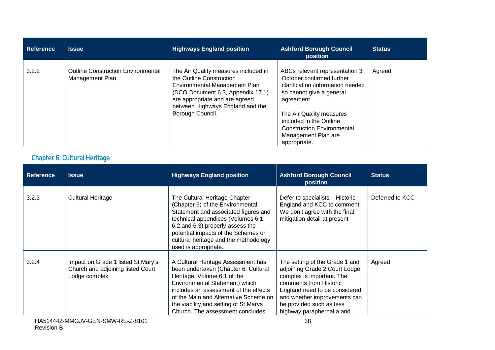| Reference | <b>Issue</b>                                                 | <b>Highways England position</b>                                                                                                                                                                                                 | <b>Ashford Borough Council</b><br>position                                                                                                                                                                                                                                    | <b>Status</b> |
|-----------|--------------------------------------------------------------|----------------------------------------------------------------------------------------------------------------------------------------------------------------------------------------------------------------------------------|-------------------------------------------------------------------------------------------------------------------------------------------------------------------------------------------------------------------------------------------------------------------------------|---------------|
| 3.2.2     | <b>Outline Construction Environmental</b><br>Management Plan | The Air Quality measures included in<br>the Outline Construction<br>Environmental Management Plan<br>(DCO Document 6.3, Appendix 17.1)<br>are appropriate and are agreed<br>between Highways England and the<br>Borough Council. | ABCs relevant representation 3<br>October confirmed further<br>clarification /information needed<br>so cannot give a general<br>agreement.<br>The Air Quality measures<br>included in the Outline<br><b>Construction Environmental</b><br>Management Plan are<br>appropriate. | Agreed        |

### Chapter 6: Cultural Heritage

| <b>Reference</b> | <b>Issue</b>                                                                             | <b>Highways England position</b>                                                                                                                                                                                                                                                                           | <b>Ashford Borough Council</b><br>position                                                                                                                                                                                                       | <b>Status</b>   |
|------------------|------------------------------------------------------------------------------------------|------------------------------------------------------------------------------------------------------------------------------------------------------------------------------------------------------------------------------------------------------------------------------------------------------------|--------------------------------------------------------------------------------------------------------------------------------------------------------------------------------------------------------------------------------------------------|-----------------|
| 3.2.3            | <b>Cultural Heritage</b>                                                                 | The Cultural Heritage Chapter<br>(Chapter 6) of the Environmental<br>Statement and associated figures and<br>technical appendices (Volumes 6.1,<br>6.2 and 6.3) properly assess the<br>potential impacts of the Schemes on<br>cultural heritage and the methodology<br>used is appropriate.                | Defer to specialists - Historic<br>England and KCC to comment.<br>We don't agree with the final<br>mitigation detail at present                                                                                                                  | Deferred to KCC |
| 3.2.4            | Impact on Grade 1 listed St Mary's<br>Church and adjoining listed Court<br>Lodge complex | A Cultural Heritage Assessment has<br>been undertaken (Chapter 6; Cultural<br>Heritage, Volume 6.1 of the<br>Environmental Statement) which<br>includes an assessment of the effects<br>of the Main and Alternative Scheme on<br>the viability and setting of St Marys<br>Church. The assessment concludes | The setting of the Grade 1 and<br>adjoining Grade 2 Court Lodge<br>complex is important. The<br>comments from Historic<br>England need to be considered<br>and whether improvements can<br>be provided such as less<br>highway paraphernalia and | Agreed          |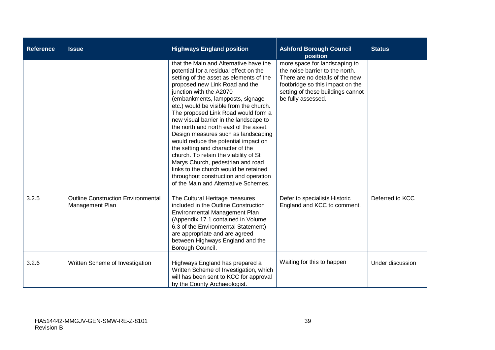| <b>Reference</b> | <b>Issue</b>                                                 | <b>Highways England position</b>                                                                                                                                                                                                                                                                                                                                                                                                                                                                                                                                                                                                                                                                                              | <b>Ashford Borough Council</b><br>position                                                                                                                                                         | <b>Status</b>    |
|------------------|--------------------------------------------------------------|-------------------------------------------------------------------------------------------------------------------------------------------------------------------------------------------------------------------------------------------------------------------------------------------------------------------------------------------------------------------------------------------------------------------------------------------------------------------------------------------------------------------------------------------------------------------------------------------------------------------------------------------------------------------------------------------------------------------------------|----------------------------------------------------------------------------------------------------------------------------------------------------------------------------------------------------|------------------|
|                  |                                                              | that the Main and Alternative have the<br>potential for a residual effect on the<br>setting of the asset as elements of the<br>proposed new Link Road and the<br>junction with the A2070<br>(embankments, lampposts, signage<br>etc.) would be visible from the church.<br>The proposed Link Road would form a<br>new visual barrier in the landscape to<br>the north and north east of the asset.<br>Design measures such as landscaping<br>would reduce the potential impact on<br>the setting and character of the<br>church. To retain the viability of St<br>Marys Church, pedestrian and road<br>links to the church would be retained<br>throughout construction and operation<br>of the Main and Alternative Schemes. | more space for landscaping to<br>the noise barrier to the north.<br>There are no details of the new<br>footbridge so this impact on the<br>setting of these buildings cannot<br>be fully assessed. |                  |
| 3.2.5            | <b>Outline Construction Environmental</b><br>Management Plan | The Cultural Heritage measures<br>included in the Outline Construction<br>Environmental Management Plan<br>(Appendix 17.1 contained in Volume<br>6.3 of the Environmental Statement)<br>are appropriate and are agreed<br>between Highways England and the<br>Borough Council.                                                                                                                                                                                                                                                                                                                                                                                                                                                | Defer to specialists Historic<br>England and KCC to comment.                                                                                                                                       | Deferred to KCC  |
| 3.2.6            | Written Scheme of Investigation                              | Highways England has prepared a<br>Written Scheme of Investigation, which<br>will has been sent to KCC for approval<br>by the County Archaeologist.                                                                                                                                                                                                                                                                                                                                                                                                                                                                                                                                                                           | Waiting for this to happen                                                                                                                                                                         | Under discussion |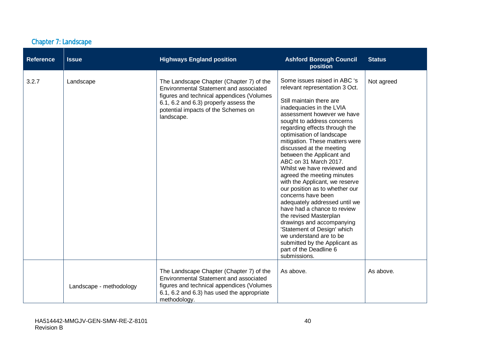|  | <b>Chapter 7: Landscape</b> |
|--|-----------------------------|
|  |                             |

| <b>Reference</b> | <b>Issue</b>            | <b>Highways England position</b>                                                                                                                                                                                              | <b>Ashford Borough Council</b><br>position                                                                                                                                                                                                                                                                                                                                                                                                                                                                                                                                                                                                                                                                                                                                              | <b>Status</b> |
|------------------|-------------------------|-------------------------------------------------------------------------------------------------------------------------------------------------------------------------------------------------------------------------------|-----------------------------------------------------------------------------------------------------------------------------------------------------------------------------------------------------------------------------------------------------------------------------------------------------------------------------------------------------------------------------------------------------------------------------------------------------------------------------------------------------------------------------------------------------------------------------------------------------------------------------------------------------------------------------------------------------------------------------------------------------------------------------------------|---------------|
| 3.2.7            | Landscape               | The Landscape Chapter (Chapter 7) of the<br>Environmental Statement and associated<br>figures and technical appendices (Volumes<br>6.1, 6.2 and 6.3) properly assess the<br>potential impacts of the Schemes on<br>landscape. | Some issues raised in ABC 's<br>relevant representation 3 Oct.<br>Still maintain there are<br>inadequacies in the LVIA<br>assessment however we have<br>sought to address concerns<br>regarding effects through the<br>optimisation of landscape<br>mitigation. These matters were<br>discussed at the meeting<br>between the Applicant and<br>ABC on 31 March 2017.<br>Whilst we have reviewed and<br>agreed the meeting minutes<br>with the Applicant, we reserve<br>our position as to whether our<br>concerns have been<br>adequately addressed until we<br>have had a chance to review<br>the revised Masterplan<br>drawings and accompanying<br>'Statement of Design' which<br>we understand are to be<br>submitted by the Applicant as<br>part of the Deadline 6<br>submissions. | Not agreed    |
|                  | Landscape - methodology | The Landscape Chapter (Chapter 7) of the<br>Environmental Statement and associated<br>figures and technical appendices (Volumes<br>6.1, 6.2 and 6.3) has used the appropriate<br>methodology.                                 | As above.                                                                                                                                                                                                                                                                                                                                                                                                                                                                                                                                                                                                                                                                                                                                                                               | As above.     |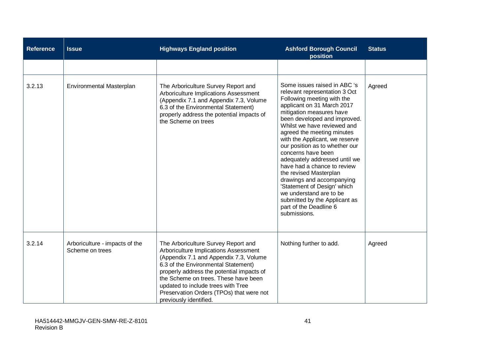| <b>Reference</b> | <b>Issue</b>                                      | <b>Highways England position</b>                                                                                                                                                                                                                                                                                                                               | <b>Ashford Borough Council</b><br>position                                                                                                                                                                                                                                                                                                                                                                                                                                                                                                                                                               | <b>Status</b> |
|------------------|---------------------------------------------------|----------------------------------------------------------------------------------------------------------------------------------------------------------------------------------------------------------------------------------------------------------------------------------------------------------------------------------------------------------------|----------------------------------------------------------------------------------------------------------------------------------------------------------------------------------------------------------------------------------------------------------------------------------------------------------------------------------------------------------------------------------------------------------------------------------------------------------------------------------------------------------------------------------------------------------------------------------------------------------|---------------|
|                  |                                                   |                                                                                                                                                                                                                                                                                                                                                                |                                                                                                                                                                                                                                                                                                                                                                                                                                                                                                                                                                                                          |               |
| 3.2.13           | Environmental Masterplan                          | The Arboriculture Survey Report and<br>Arboriculture Implications Assessment<br>(Appendix 7.1 and Appendix 7.3, Volume<br>6.3 of the Environmental Statement)<br>properly address the potential impacts of<br>the Scheme on trees                                                                                                                              | Some issues raised in ABC 's<br>relevant representation 3 Oct<br>Following meeting with the<br>applicant on 31 March 2017<br>mitigation measures have<br>been developed and improved.<br>Whilst we have reviewed and<br>agreed the meeting minutes<br>with the Applicant, we reserve<br>our position as to whether our<br>concerns have been<br>adequately addressed until we<br>have had a chance to review<br>the revised Masterplan<br>drawings and accompanying<br>'Statement of Design' which<br>we understand are to be<br>submitted by the Applicant as<br>part of the Deadline 6<br>submissions. | Agreed        |
| 3.2.14           | Arboriculture - impacts of the<br>Scheme on trees | The Arboriculture Survey Report and<br>Arboriculture Implications Assessment<br>(Appendix 7.1 and Appendix 7.3, Volume<br>6.3 of the Environmental Statement)<br>properly address the potential impacts of<br>the Scheme on trees. These have been<br>updated to include trees with Tree<br>Preservation Orders (TPOs) that were not<br>previously identified. | Nothing further to add.                                                                                                                                                                                                                                                                                                                                                                                                                                                                                                                                                                                  | Agreed        |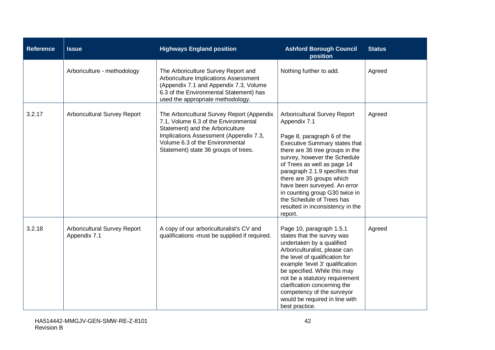| <b>Reference</b> | <b>Issue</b>                                 | <b>Highways England position</b>                                                                                                                                                                                                            | <b>Ashford Borough Council</b><br>position                                                                                                                                                                                                                                                                                                                                                                                        | <b>Status</b> |
|------------------|----------------------------------------------|---------------------------------------------------------------------------------------------------------------------------------------------------------------------------------------------------------------------------------------------|-----------------------------------------------------------------------------------------------------------------------------------------------------------------------------------------------------------------------------------------------------------------------------------------------------------------------------------------------------------------------------------------------------------------------------------|---------------|
|                  | Arboriculture - methodology                  | The Arboriculture Survey Report and<br>Arboriculture Implications Assessment<br>(Appendix 7.1 and Appendix 7.3, Volume<br>6.3 of the Environmental Statement) has<br>used the appropriate methodology.                                      | Nothing further to add.                                                                                                                                                                                                                                                                                                                                                                                                           | Agreed        |
| 3.2.17           | Arboricultural Survey Report                 | The Arboricultural Survey Report (Appendix<br>7.1, Volume 6.3 of the Environmental<br>Statement) and the Arboriculture<br>Implications Assessment (Appendix 7.3,<br>Volume 6.3 of the Environmental<br>Statement) state 36 groups of trees. | Arboricultural Survey Report<br>Appendix 7.1<br>Page 8, paragraph 6 of the<br><b>Executive Summary states that</b><br>there are 36 tree groups in the<br>survey, however the Schedule<br>of Trees as well as page 14<br>paragraph 2.1.9 specifies that<br>there are 35 groups which<br>have been surveyed. An error<br>in counting group G30 twice in<br>the Schedule of Trees has<br>resulted in inconsistency in the<br>report. | Agreed        |
| 3.2.18           | Arboricultural Survey Report<br>Appendix 7.1 | A copy of our arboriculturalist's CV and<br>qualifications -must be supplied if required.                                                                                                                                                   | Page 10, paragraph 1.5.1<br>states that the survey was<br>undertaken by a qualified<br>Arboriculturalist, please can<br>the level of qualification for<br>example 'level 3' qualification<br>be specified. While this may<br>not be a statutory requirement<br>clarification concerning the<br>competency of the surveyor<br>would be required in line with<br>best practice.                                                     | Agreed        |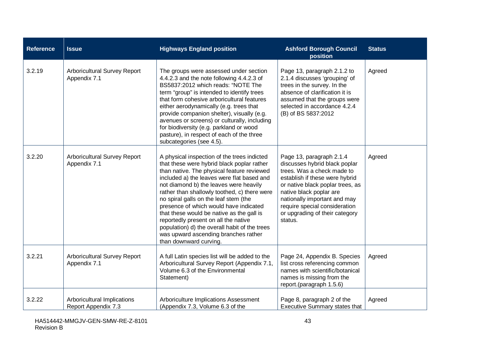| <b>Reference</b> | <b>Issue</b>                                       | <b>Highways England position</b>                                                                                                                                                                                                                                                                                                                                                                                                                                                                                                                                           | <b>Ashford Borough Council</b><br>position                                                                                                                                                                                                                                                             | <b>Status</b> |
|------------------|----------------------------------------------------|----------------------------------------------------------------------------------------------------------------------------------------------------------------------------------------------------------------------------------------------------------------------------------------------------------------------------------------------------------------------------------------------------------------------------------------------------------------------------------------------------------------------------------------------------------------------------|--------------------------------------------------------------------------------------------------------------------------------------------------------------------------------------------------------------------------------------------------------------------------------------------------------|---------------|
| 3.2.19           | Arboricultural Survey Report<br>Appendix 7.1       | The groups were assessed under section<br>4.4.2.3 and the note following 4.4.2.3 of<br>BS5837:2012 which reads: "NOTE The<br>term "group" is intended to identify trees<br>that form cohesive arboricultural features<br>either aerodynamically (e.g. trees that<br>provide companion shelter), visually (e.g.<br>avenues or screens) or culturally, including<br>for biodiversity (e.g. parkland or wood<br>pasture), in respect of each of the three<br>subcategories (see 4.5).                                                                                         | Page 13, paragraph 2.1.2 to<br>2.1.4 discusses 'grouping' of<br>trees in the survey. In the<br>absence of clarification it is<br>assumed that the groups were<br>selected in accordance 4.2.4<br>(B) of BS 5837:2012                                                                                   | Agreed        |
| 3.2.20           | Arboricultural Survey Report<br>Appendix 7.1       | A physical inspection of the trees indicted<br>that these were hybrid black poplar rather<br>than native. The physical feature reviewed<br>included a) the leaves were flat based and<br>not diamond b) the leaves were heavily<br>rather than shallowly toothed, c) there were<br>no spiral galls on the leaf stem (the<br>presence of which would have indicated<br>that these would be native as the gall is<br>reportedly present on all the native<br>population) d) the overall habit of the trees<br>was upward ascending branches rather<br>than downward curving. | Page 13, paragraph 2.1.4<br>discusses hybrid black poplar<br>trees. Was a check made to<br>establish if these were hybrid<br>or native black poplar trees, as<br>native black poplar are<br>nationally important and may<br>require special consideration<br>or upgrading of their category<br>status. | Agreed        |
| 3.2.21           | Arboricultural Survey Report<br>Appendix 7.1       | A full Latin species list will be added to the<br>Arboricultural Survey Report (Appendix 7.1,<br>Volume 6.3 of the Environmental<br>Statement)                                                                                                                                                                                                                                                                                                                                                                                                                             | Page 24, Appendix B. Species<br>list cross referencing common<br>names with scientific/botanical<br>names is missing from the<br>report.(paragraph 1.5.6)                                                                                                                                              | Agreed        |
| 3.2.22           | Arboricultural Implications<br>Report Appendix 7.3 | Arboriculture Implications Assessment<br>(Appendix 7.3, Volume 6.3 of the                                                                                                                                                                                                                                                                                                                                                                                                                                                                                                  | Page 8, paragraph 2 of the<br><b>Executive Summary states that</b>                                                                                                                                                                                                                                     | Agreed        |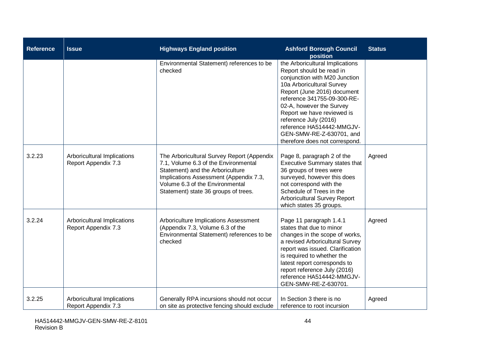| <b>Reference</b> | <b>Issue</b>                                       | <b>Highways England position</b>                                                                                                                                                                                                            | <b>Ashford Borough Council</b><br>position                                                                                                                                                                                                                                                                                                                            | <b>Status</b> |
|------------------|----------------------------------------------------|---------------------------------------------------------------------------------------------------------------------------------------------------------------------------------------------------------------------------------------------|-----------------------------------------------------------------------------------------------------------------------------------------------------------------------------------------------------------------------------------------------------------------------------------------------------------------------------------------------------------------------|---------------|
|                  |                                                    | Environmental Statement) references to be<br>checked                                                                                                                                                                                        | the Arboricultural Implications<br>Report should be read in<br>conjunction with M20 Junction<br>10a Arboricultural Survey<br>Report (June 2016) document<br>reference 341755-09-300-RE-<br>02-A, however the Survey<br>Report we have reviewed is<br>reference July (2016)<br>reference HA514442-MMGJV-<br>GEN-SMW-RE-Z-630701, and<br>therefore does not correspond. |               |
| 3.2.23           | Arboricultural Implications<br>Report Appendix 7.3 | The Arboricultural Survey Report (Appendix<br>7.1, Volume 6.3 of the Environmental<br>Statement) and the Arboriculture<br>Implications Assessment (Appendix 7.3,<br>Volume 6.3 of the Environmental<br>Statement) state 36 groups of trees. | Page 8, paragraph 2 of the<br><b>Executive Summary states that</b><br>36 groups of trees were<br>surveyed, however this does<br>not correspond with the<br>Schedule of Trees in the<br><b>Arboricultural Survey Report</b><br>which states 35 groups.                                                                                                                 | Agreed        |
| 3.2.24           | Arboricultural Implications<br>Report Appendix 7.3 | Arboriculture Implications Assessment<br>(Appendix 7.3, Volume 6.3 of the<br>Environmental Statement) references to be<br>checked                                                                                                           | Page 11 paragraph 1.4.1<br>states that due to minor<br>changes in the scope of works,<br>a revised Arboricultural Survey<br>report was issued. Clarification<br>is required to whether the<br>latest report corresponds to<br>report reference July (2016)<br>reference HA514442-MMGJV-<br>GEN-SMW-RE-Z-630701.                                                       | Agreed        |
| 3.2.25           | Arboricultural Implications<br>Report Appendix 7.3 | Generally RPA incursions should not occur<br>on site as protective fencing should exclude                                                                                                                                                   | In Section 3 there is no<br>reference to root incursion                                                                                                                                                                                                                                                                                                               | Agreed        |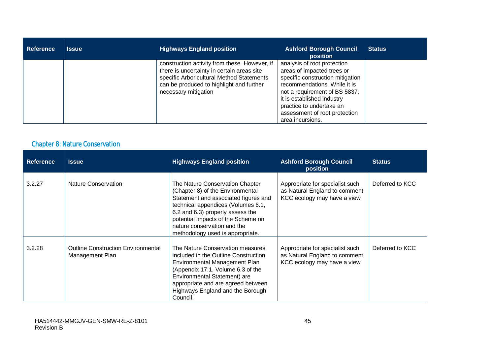| <b>Reference</b> | <b>Issue</b> | <b>Highways England position</b>                                                                                                                                                                             | <b>Ashford Borough Council</b><br><b>position</b>                                                                                                                                                                                                                             | <b>Status</b> |
|------------------|--------------|--------------------------------------------------------------------------------------------------------------------------------------------------------------------------------------------------------------|-------------------------------------------------------------------------------------------------------------------------------------------------------------------------------------------------------------------------------------------------------------------------------|---------------|
|                  |              | construction activity from these. However, if<br>there is uncertainty in certain areas site<br>specific Arboricultural Method Statements<br>can be produced to highlight and further<br>necessary mitigation | analysis of root protection<br>areas of impacted trees or<br>specific construction mitigation<br>recommendations. While it is<br>not a requirement of BS 5837,<br>it is established industry<br>practice to undertake an<br>assessment of root protection<br>area incursions. |               |

### Chapter 8: Nature Conservation

| <b>Reference</b> | <b>Issue</b>                                                 | <b>Highways England position</b>                                                                                                                                                                                                                                                               | <b>Ashford Borough Council</b><br>position                                                       | <b>Status</b>   |
|------------------|--------------------------------------------------------------|------------------------------------------------------------------------------------------------------------------------------------------------------------------------------------------------------------------------------------------------------------------------------------------------|--------------------------------------------------------------------------------------------------|-----------------|
| 3.2.27           | Nature Conservation                                          | The Nature Conservation Chapter<br>(Chapter 8) of the Environmental<br>Statement and associated figures and<br>technical appendices (Volumes 6.1,<br>6.2 and 6.3) properly assess the<br>potential impacts of the Scheme on<br>nature conservation and the<br>methodology used is appropriate. | Appropriate for specialist such<br>as Natural England to comment.<br>KCC ecology may have a view | Deferred to KCC |
| 3.2.28           | <b>Outline Construction Environmental</b><br>Management Plan | The Nature Conservation measures<br>included in the Outline Construction<br>Environmental Management Plan<br>(Appendix 17.1, Volume 6.3 of the<br>Environmental Statement) are<br>appropriate and are agreed between<br>Highways England and the Borough<br>Council.                           | Appropriate for specialist such<br>as Natural England to comment.<br>KCC ecology may have a view | Deferred to KCC |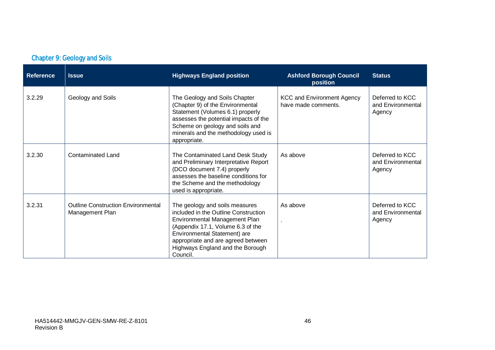| <b>Chapter 9: Geology and Soils</b> |  |
|-------------------------------------|--|
|                                     |  |

| <b>Reference</b> | <b>Issue</b>                                                 | <b>Highways England position</b>                                                                                                                                                                                                                                   | <b>Ashford Borough Council</b><br>position               | <b>Status</b>                                  |
|------------------|--------------------------------------------------------------|--------------------------------------------------------------------------------------------------------------------------------------------------------------------------------------------------------------------------------------------------------------------|----------------------------------------------------------|------------------------------------------------|
| 3.2.29           | Geology and Soils                                            | The Geology and Soils Chapter<br>(Chapter 9) of the Environmental<br>Statement (Volumes 6.1) properly<br>assesses the potential impacts of the<br>Scheme on geology and soils and<br>minerals and the methodology used is<br>appropriate.                          | <b>KCC and Environment Agency</b><br>have made comments. | Deferred to KCC<br>and Environmental<br>Agency |
| 3.2.30           | <b>Contaminated Land</b>                                     | The Contaminated Land Desk Study<br>and Preliminary Interpretative Report<br>(DCO document 7.4) properly<br>assesses the baseline conditions for<br>the Scheme and the methodology<br>used is appropriate.                                                         | As above                                                 | Deferred to KCC<br>and Environmental<br>Agency |
| 3.2.31           | <b>Outline Construction Environmental</b><br>Management Plan | The geology and soils measures<br>included in the Outline Construction<br>Environmental Management Plan<br>(Appendix 17.1, Volume 6.3 of the<br>Environmental Statement) are<br>appropriate and are agreed between<br>Highways England and the Borough<br>Council. | As above                                                 | Deferred to KCC<br>and Environmental<br>Agency |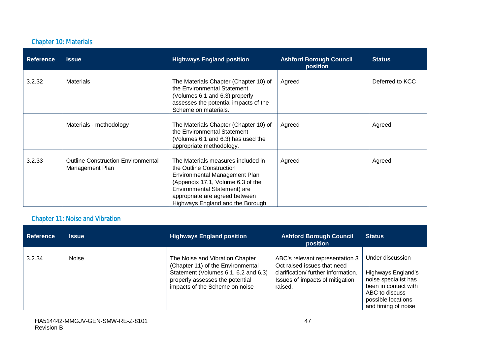#### Chapter 10: Materials

| <b>Reference</b> | <b>Issue</b>                                                 | <b>Highways England position</b>                                                                                                                                                                                                           | <b>Ashford Borough Council</b><br>position | <b>Status</b>   |
|------------------|--------------------------------------------------------------|--------------------------------------------------------------------------------------------------------------------------------------------------------------------------------------------------------------------------------------------|--------------------------------------------|-----------------|
| 3.2.32           | <b>Materials</b>                                             | The Materials Chapter (Chapter 10) of<br>the Environmental Statement<br>(Volumes 6.1 and 6.3) properly<br>assesses the potential impacts of the<br>Scheme on materials.                                                                    | Agreed                                     | Deferred to KCC |
|                  | Materials - methodology                                      | The Materials Chapter (Chapter 10) of<br>the Environmental Statement<br>(Volumes 6.1 and 6.3) has used the<br>appropriate methodology.                                                                                                     | Agreed                                     | Agreed          |
| 3.2.33           | <b>Outline Construction Environmental</b><br>Management Plan | The Materials measures included in<br>the Outline Construction<br>Environmental Management Plan<br>(Appendix 17.1, Volume 6.3 of the<br>Environmental Statement) are<br>appropriate are agreed between<br>Highways England and the Borough | Agreed                                     | Agreed          |

### Chapter 11: Noise and Vibration

| <b>Reference</b> | <b>Issue</b> | <b>Highways England position</b>                                                                                                                                                  | <b>Ashford Borough Council</b><br>position                                                                                                         | <b>Status</b>                                                                                                                                         |
|------------------|--------------|-----------------------------------------------------------------------------------------------------------------------------------------------------------------------------------|----------------------------------------------------------------------------------------------------------------------------------------------------|-------------------------------------------------------------------------------------------------------------------------------------------------------|
| 3.2.34           | <b>Noise</b> | The Noise and Vibration Chapter<br>(Chapter 11) of the Environmental<br>Statement (Volumes 6.1, 6.2 and 6.3)<br>properly assesses the potential<br>impacts of the Scheme on noise | ABC's relevant representation 3<br>Oct raised issues that need<br>clarification/further information.<br>Issues of impacts of mitigation<br>raised. | Under discussion<br>Highways England's<br>noise specialist has<br>been in contact with<br>ABC to discuss<br>possible locations<br>and timing of noise |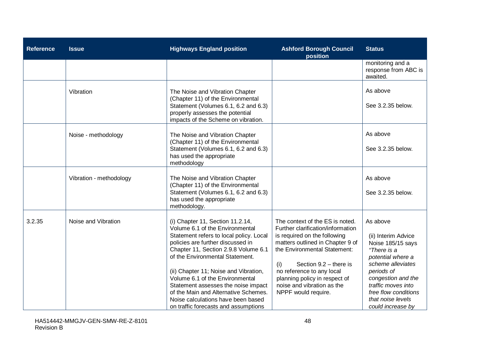| <b>Reference</b> | <b>Issue</b>            | <b>Highways England position</b>                                                                                                                                                                                                                                                                                                                                                                                                                                        | <b>Ashford Borough Council</b><br>position                                                                                                                                                                                                                                                                                     | <b>Status</b>                                                                                                                                                                                                                             |
|------------------|-------------------------|-------------------------------------------------------------------------------------------------------------------------------------------------------------------------------------------------------------------------------------------------------------------------------------------------------------------------------------------------------------------------------------------------------------------------------------------------------------------------|--------------------------------------------------------------------------------------------------------------------------------------------------------------------------------------------------------------------------------------------------------------------------------------------------------------------------------|-------------------------------------------------------------------------------------------------------------------------------------------------------------------------------------------------------------------------------------------|
|                  |                         |                                                                                                                                                                                                                                                                                                                                                                                                                                                                         |                                                                                                                                                                                                                                                                                                                                | monitoring and a<br>response from ABC is<br>awaited.                                                                                                                                                                                      |
|                  | Vibration               | The Noise and Vibration Chapter<br>(Chapter 11) of the Environmental<br>Statement (Volumes 6.1, 6.2 and 6.3)<br>properly assesses the potential<br>impacts of the Scheme on vibration.                                                                                                                                                                                                                                                                                  |                                                                                                                                                                                                                                                                                                                                | As above<br>See 3.2.35 below.                                                                                                                                                                                                             |
|                  | Noise - methodology     | The Noise and Vibration Chapter<br>(Chapter 11) of the Environmental<br>Statement (Volumes 6.1, 6.2 and 6.3)<br>has used the appropriate<br>methodology                                                                                                                                                                                                                                                                                                                 |                                                                                                                                                                                                                                                                                                                                | As above<br>See 3.2.35 below.                                                                                                                                                                                                             |
|                  | Vibration - methodology | The Noise and Vibration Chapter<br>(Chapter 11) of the Environmental<br>Statement (Volumes 6.1, 6.2 and 6.3)<br>has used the appropriate<br>methodology.                                                                                                                                                                                                                                                                                                                |                                                                                                                                                                                                                                                                                                                                | As above<br>See 3.2.35 below.                                                                                                                                                                                                             |
| 3.2.35           | Noise and Vibration     | (i) Chapter 11, Section 11.2.14,<br>Volume 6.1 of the Environmental<br>Statement refers to local policy. Local<br>policies are further discussed in<br>Chapter 11, Section 2.9.8 Volume 6.1<br>of the Environmental Statement.<br>(ii) Chapter 11; Noise and Vibration,<br>Volume 6.1 of the Environmental<br>Statement assesses the noise impact<br>of the Main and Alternative Schemes.<br>Noise calculations have been based<br>on traffic forecasts and assumptions | The context of the ES is noted.<br>Further clarification/information<br>is required on the following<br>matters outlined in Chapter 9 of<br>the Environmental Statement:<br>Section $9.2$ – there is<br>(i)<br>no reference to any local<br>planning policy in respect of<br>noise and vibration as the<br>NPPF would require. | As above<br>(ii) Interim Advice<br>Noise 185/15 says<br>"There is a<br>potential where a<br>scheme alleviates<br>periods of<br>congestion and the<br>traffic moves into<br>free flow conditions<br>that noise levels<br>could increase by |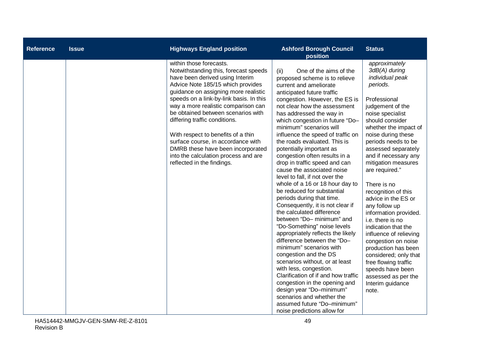| <b>Reference</b> | <b>Issue</b> | <b>Highways England position</b>                                                                                                                                                                                                                                                                                                                                                                                                                                                                                                 | <b>Ashford Borough Council</b><br>position                                                                                                                                                                                                                                                                                                                                                                                                                                                                                                                                                                                                                                                                                                                                                                                                                                                                                                                                                                                                                                                                                           | <b>Status</b>                                                                                                                                                                                                                                                                                                                                                                                                                                                                                                                                                                                                                                             |
|------------------|--------------|----------------------------------------------------------------------------------------------------------------------------------------------------------------------------------------------------------------------------------------------------------------------------------------------------------------------------------------------------------------------------------------------------------------------------------------------------------------------------------------------------------------------------------|--------------------------------------------------------------------------------------------------------------------------------------------------------------------------------------------------------------------------------------------------------------------------------------------------------------------------------------------------------------------------------------------------------------------------------------------------------------------------------------------------------------------------------------------------------------------------------------------------------------------------------------------------------------------------------------------------------------------------------------------------------------------------------------------------------------------------------------------------------------------------------------------------------------------------------------------------------------------------------------------------------------------------------------------------------------------------------------------------------------------------------------|-----------------------------------------------------------------------------------------------------------------------------------------------------------------------------------------------------------------------------------------------------------------------------------------------------------------------------------------------------------------------------------------------------------------------------------------------------------------------------------------------------------------------------------------------------------------------------------------------------------------------------------------------------------|
|                  |              | within those forecasts.<br>Notwithstanding this, forecast speeds<br>have been derived using Interim<br>Advice Note 185/15 which provides<br>guidance on assigning more realistic<br>speeds on a link-by-link basis. In this<br>way a more realistic comparison can<br>be obtained between scenarios with<br>differing traffic conditions.<br>With respect to benefits of a thin<br>surface course, in accordance with<br>DMRB these have been incorporated<br>into the calculation process and are<br>reflected in the findings. | One of the aims of the<br>(ii)<br>proposed scheme is to relieve<br>current and ameliorate<br>anticipated future traffic<br>congestion. However, the ES is<br>not clear how the assessment<br>has addressed the way in<br>which congestion in future "Do-<br>minimum" scenarios will<br>influence the speed of traffic on<br>the roads evaluated. This is<br>potentially important as<br>congestion often results in a<br>drop in traffic speed and can<br>cause the associated noise<br>level to fall, if not over the<br>whole of a 16 or 18 hour day to<br>be reduced for substantial<br>periods during that time.<br>Consequently, it is not clear if<br>the calculated difference<br>between "Do- minimum" and<br>"Do-Something" noise levels<br>appropriately reflects the likely<br>difference between the "Do-<br>minimum" scenarios with<br>congestion and the DS<br>scenarios without, or at least<br>with less, congestion.<br>Clarification of if and how traffic<br>congestion in the opening and<br>design year "Do-minimum"<br>scenarios and whether the<br>assumed future "Do-minimum"<br>noise predictions allow for | approximately<br>3dB(A) during<br>individual peak<br>periods.<br>Professional<br>judgement of the<br>noise specialist<br>should consider<br>whether the impact of<br>noise during these<br>periods needs to be<br>assessed separately<br>and if necessary any<br>mitigation measures<br>are required."<br>There is no<br>recognition of this<br>advice in the ES or<br>any follow up<br>information provided.<br>i.e. there is no<br>indication that the<br>influence of relieving<br>congestion on noise<br>production has been<br>considered; only that<br>free flowing traffic<br>speeds have been<br>assessed as per the<br>Interim guidance<br>note. |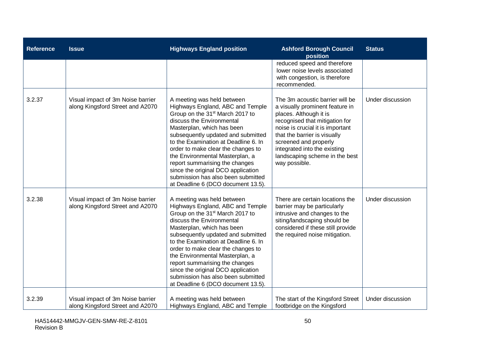| <b>Reference</b> | <b>Issue</b>                                                          | <b>Highways England position</b>                                                                                                                                                                                                                                                                                                                                                                                                                                                    | <b>Ashford Borough Council</b><br>position                                                                                                                                                                                                                                                                     | <b>Status</b>    |
|------------------|-----------------------------------------------------------------------|-------------------------------------------------------------------------------------------------------------------------------------------------------------------------------------------------------------------------------------------------------------------------------------------------------------------------------------------------------------------------------------------------------------------------------------------------------------------------------------|----------------------------------------------------------------------------------------------------------------------------------------------------------------------------------------------------------------------------------------------------------------------------------------------------------------|------------------|
|                  |                                                                       |                                                                                                                                                                                                                                                                                                                                                                                                                                                                                     | reduced speed and therefore<br>lower noise levels associated<br>with congestion, is therefore<br>recommended.                                                                                                                                                                                                  |                  |
| 3.2.37           | Visual impact of 3m Noise barrier<br>along Kingsford Street and A2070 | A meeting was held between<br>Highways England, ABC and Temple<br>Group on the 31 <sup>st</sup> March 2017 to<br>discuss the Environmental<br>Masterplan, which has been<br>subsequently updated and submitted<br>to the Examination at Deadline 6. In<br>order to make clear the changes to<br>the Environmental Masterplan, a<br>report summarising the changes<br>since the original DCO application<br>submission has also been submitted<br>at Deadline 6 (DCO document 13.5). | The 3m acoustic barrier will be<br>a visually prominent feature in<br>places. Although it is<br>recognised that mitigation for<br>noise is crucial it is important<br>that the barrier is visually<br>screened and properly<br>integrated into the existing<br>landscaping scheme in the best<br>way possible. | Under discussion |
| 3.2.38           | Visual impact of 3m Noise barrier<br>along Kingsford Street and A2070 | A meeting was held between<br>Highways England, ABC and Temple<br>Group on the 31 <sup>st</sup> March 2017 to<br>discuss the Environmental<br>Masterplan, which has been<br>subsequently updated and submitted<br>to the Examination at Deadline 6. In<br>order to make clear the changes to<br>the Environmental Masterplan, a<br>report summarising the changes<br>since the original DCO application<br>submission has also been submitted<br>at Deadline 6 (DCO document 13.5). | There are certain locations the<br>barrier may be particularly<br>intrusive and changes to the<br>siting/landscaping should be<br>considered if these still provide<br>the required noise mitigation.                                                                                                          | Under discussion |
| 3.2.39           | Visual impact of 3m Noise barrier<br>along Kingsford Street and A2070 | A meeting was held between<br>Highways England, ABC and Temple                                                                                                                                                                                                                                                                                                                                                                                                                      | The start of the Kingsford Street<br>footbridge on the Kingsford                                                                                                                                                                                                                                               | Under discussion |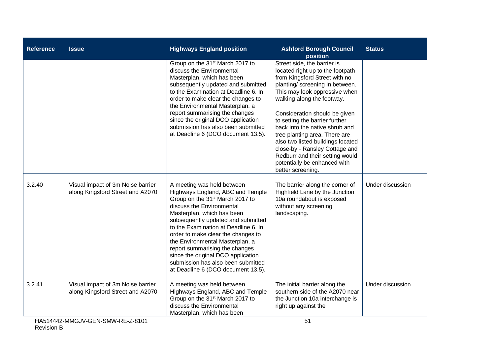| <b>Reference</b> | <b>Issue</b>                                                          | <b>Highways England position</b>                                                                                                                                                                                                                                                                                                                                                                                                                                                    | <b>Ashford Borough Council</b><br>position                                                                                                                                                                                                                                                                                                                                                                                                                                                              | <b>Status</b>    |
|------------------|-----------------------------------------------------------------------|-------------------------------------------------------------------------------------------------------------------------------------------------------------------------------------------------------------------------------------------------------------------------------------------------------------------------------------------------------------------------------------------------------------------------------------------------------------------------------------|---------------------------------------------------------------------------------------------------------------------------------------------------------------------------------------------------------------------------------------------------------------------------------------------------------------------------------------------------------------------------------------------------------------------------------------------------------------------------------------------------------|------------------|
|                  |                                                                       | Group on the 31 <sup>st</sup> March 2017 to<br>discuss the Environmental<br>Masterplan, which has been<br>subsequently updated and submitted<br>to the Examination at Deadline 6. In<br>order to make clear the changes to<br>the Environmental Masterplan, a<br>report summarising the changes<br>since the original DCO application<br>submission has also been submitted<br>at Deadline 6 (DCO document 13.5).                                                                   | Street side, the barrier is<br>located right up to the footpath<br>from Kingsford Street with no<br>planting/ screening in between.<br>This may look oppressive when<br>walking along the footway.<br>Consideration should be given<br>to setting the barrier further<br>back into the native shrub and<br>tree planting area. There are<br>also two listed buildings located<br>close-by - Ransley Cottage and<br>Redburr and their setting would<br>potentially be enhanced with<br>better screening. |                  |
| 3.2.40           | Visual impact of 3m Noise barrier<br>along Kingsford Street and A2070 | A meeting was held between<br>Highways England, ABC and Temple<br>Group on the 31 <sup>st</sup> March 2017 to<br>discuss the Environmental<br>Masterplan, which has been<br>subsequently updated and submitted<br>to the Examination at Deadline 6. In<br>order to make clear the changes to<br>the Environmental Masterplan, a<br>report summarising the changes<br>since the original DCO application<br>submission has also been submitted<br>at Deadline 6 (DCO document 13.5). | The barrier along the corner of<br>Highfield Lane by the Junction<br>10a roundabout is exposed<br>without any screening<br>landscaping.                                                                                                                                                                                                                                                                                                                                                                 | Under discussion |
| 3.2.41           | Visual impact of 3m Noise barrier<br>along Kingsford Street and A2070 | A meeting was held between<br>Highways England, ABC and Temple<br>Group on the 31 <sup>st</sup> March 2017 to<br>discuss the Environmental<br>Masterplan, which has been                                                                                                                                                                                                                                                                                                            | The initial barrier along the<br>southern side of the A2070 near<br>the Junction 10a interchange is<br>right up against the                                                                                                                                                                                                                                                                                                                                                                             | Under discussion |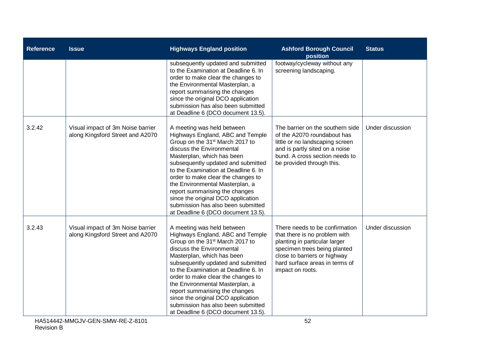| <b>Reference</b> | <b>Issue</b>                                                          | <b>Highways England position</b>                                                                                                                                                                                                                                                                                                                                                                                                                                                    | <b>Ashford Borough Council</b><br>position                                                                                                                                                                             | <b>Status</b>    |
|------------------|-----------------------------------------------------------------------|-------------------------------------------------------------------------------------------------------------------------------------------------------------------------------------------------------------------------------------------------------------------------------------------------------------------------------------------------------------------------------------------------------------------------------------------------------------------------------------|------------------------------------------------------------------------------------------------------------------------------------------------------------------------------------------------------------------------|------------------|
|                  |                                                                       | subsequently updated and submitted<br>to the Examination at Deadline 6. In<br>order to make clear the changes to<br>the Environmental Masterplan, a<br>report summarising the changes<br>since the original DCO application<br>submission has also been submitted<br>at Deadline 6 (DCO document 13.5).                                                                                                                                                                             | footway/cycleway without any<br>screening landscaping.                                                                                                                                                                 |                  |
| 3.2.42           | Visual impact of 3m Noise barrier<br>along Kingsford Street and A2070 | A meeting was held between<br>Highways England, ABC and Temple<br>Group on the 31 <sup>st</sup> March 2017 to<br>discuss the Environmental<br>Masterplan, which has been<br>subsequently updated and submitted<br>to the Examination at Deadline 6. In<br>order to make clear the changes to<br>the Environmental Masterplan, a<br>report summarising the changes<br>since the original DCO application<br>submission has also been submitted<br>at Deadline 6 (DCO document 13.5). | The barrier on the southern side<br>of the A2070 roundabout has<br>little or no landscaping screen<br>and is partly sited on a noise<br>bund. A cross section needs to<br>be provided through this.                    | Under discussion |
| 3.2.43           | Visual impact of 3m Noise barrier<br>along Kingsford Street and A2070 | A meeting was held between<br>Highways England, ABC and Temple<br>Group on the 31 <sup>st</sup> March 2017 to<br>discuss the Environmental<br>Masterplan, which has been<br>subsequently updated and submitted<br>to the Examination at Deadline 6. In<br>order to make clear the changes to<br>the Environmental Masterplan, a<br>report summarising the changes<br>since the original DCO application<br>submission has also been submitted<br>at Deadline 6 (DCO document 13.5). | There needs to be confirmation<br>that there is no problem with<br>planting in particular larger<br>specimen trees being planted<br>close to barriers or highway<br>hard surface areas in terms of<br>impact on roots. | Under discussion |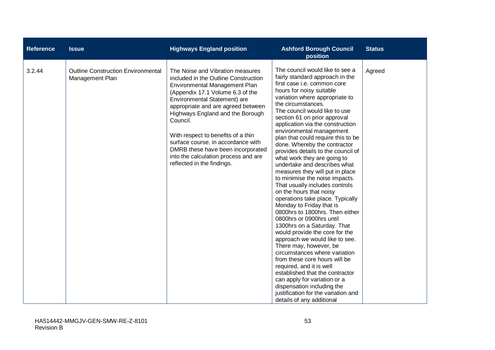| <b>Reference</b> | <b>Issue</b>                                                 | <b>Highways England position</b>                                                                                                                                                                                                                                                                                                                                                                                                                           | <b>Ashford Borough Council</b><br>position                                                                                                                                                                                                                                                                                                                                                                                                                                                                                                                                                                                                                                                                                                                                                                                                                                                                                                                                                                                                                                                                                                                         | <b>Status</b> |
|------------------|--------------------------------------------------------------|------------------------------------------------------------------------------------------------------------------------------------------------------------------------------------------------------------------------------------------------------------------------------------------------------------------------------------------------------------------------------------------------------------------------------------------------------------|--------------------------------------------------------------------------------------------------------------------------------------------------------------------------------------------------------------------------------------------------------------------------------------------------------------------------------------------------------------------------------------------------------------------------------------------------------------------------------------------------------------------------------------------------------------------------------------------------------------------------------------------------------------------------------------------------------------------------------------------------------------------------------------------------------------------------------------------------------------------------------------------------------------------------------------------------------------------------------------------------------------------------------------------------------------------------------------------------------------------------------------------------------------------|---------------|
| 3.2.44           | <b>Outline Construction Environmental</b><br>Management Plan | The Noise and Vibration measures<br>included in the Outline Construction<br>Environmental Management Plan<br>(Appendix 17.1 Volume 6.3 of the<br>Environmental Statement) are<br>appropriate and are agreed between<br>Highways England and the Borough<br>Council.<br>With respect to benefits of a thin<br>surface course, in accordance with<br>DMRB these have been incorporated<br>into the calculation process and are<br>reflected in the findings. | The council would like to see a<br>fairly standard approach in the<br>first case i.e. common core<br>hours for noisy suitable<br>variation where appropriate to<br>the circumstances.<br>The council would like to use<br>section 61 on prior approval<br>application via the construction<br>environmental management<br>plan that could require this to be<br>done. Whereby the contractor<br>provides details to the council of<br>what work they are going to<br>undertake and describes what<br>measures they will put in place<br>to minimise the noise impacts.<br>That usually includes controls<br>on the hours that noisy<br>operations take place. Typically<br>Monday to Friday that is<br>0800hrs to 1800hrs. Then either<br>0800hrs or 0900hrs until<br>1300hrs on a Saturday. That<br>would provide the core for the<br>approach we would like to see.<br>There may, however, be<br>circumstances where variation<br>from these core hours will be<br>required, and it is well<br>established that the contractor<br>can apply for variation or a<br>dispensation including the<br>justification for the variation and<br>details of any additional | Agreed        |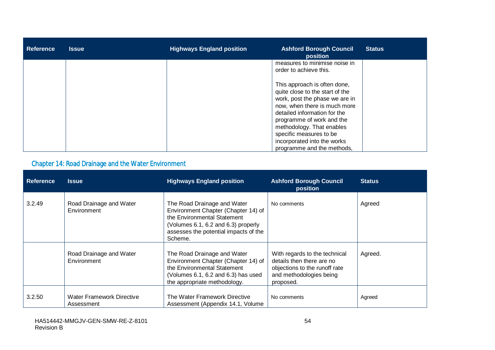| <b>Reference</b> | <b>Issue</b> | <b>Highways England position</b> | <b>Ashford Borough Council</b><br>position                                                                                                                                                                                                                                                                          | <b>Status</b> |
|------------------|--------------|----------------------------------|---------------------------------------------------------------------------------------------------------------------------------------------------------------------------------------------------------------------------------------------------------------------------------------------------------------------|---------------|
|                  |              |                                  | measures to minimise noise in<br>order to achieve this.                                                                                                                                                                                                                                                             |               |
|                  |              |                                  | This approach is often done,<br>quite close to the start of the<br>work, post the phase we are in<br>now, when there is much more<br>detailed information for the<br>programme of work and the<br>methodology. That enables<br>specific measures to be<br>incorporated into the works<br>programme and the methods, |               |

# Chapter 14: Road Drainage and the Water Environment

| <b>Reference</b> | <b>Issue</b>                                   | <b>Highways England position</b>                                                                                                                                                             | <b>Ashford Borough Council</b><br>position                                                                                          | <b>Status</b> |
|------------------|------------------------------------------------|----------------------------------------------------------------------------------------------------------------------------------------------------------------------------------------------|-------------------------------------------------------------------------------------------------------------------------------------|---------------|
| 3.2.49           | Road Drainage and Water<br>Environment         | The Road Drainage and Water<br>Environment Chapter (Chapter 14) of<br>the Environmental Statement<br>(Volumes 6.1, 6.2 and 6.3) properly<br>assesses the potential impacts of the<br>Scheme. | No comments                                                                                                                         | Agreed        |
|                  | Road Drainage and Water<br>Environment         | The Road Drainage and Water<br>Environment Chapter (Chapter 14) of<br>the Environmental Statement<br>(Volumes $6.1$ , $6.2$ and $6.3$ ) has used<br>the appropriate methodology.             | With regards to the technical<br>details then there are no<br>objections to the runoff rate<br>and methodologies being<br>proposed. | Agreed.       |
| 3.2.50           | <b>Water Framework Directive</b><br>Assessment | The Water Framework Directive<br>Assessment (Appendix 14.1, Volume                                                                                                                           | No comments                                                                                                                         | Agreed        |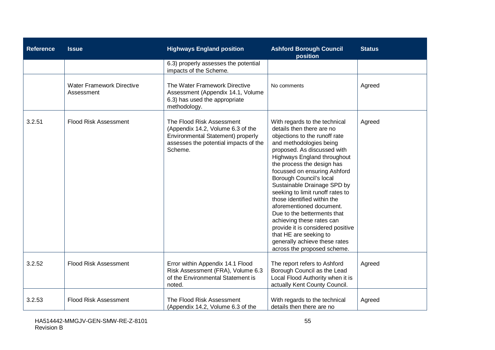| <b>Reference</b> | <b>Issue</b>                                   | <b>Highways England position</b>                                                                                                                        | <b>Ashford Borough Council</b><br>position                                                                                                                                                                                                                                                                                                                                                                                                                                                                                                                                                             | <b>Status</b> |
|------------------|------------------------------------------------|---------------------------------------------------------------------------------------------------------------------------------------------------------|--------------------------------------------------------------------------------------------------------------------------------------------------------------------------------------------------------------------------------------------------------------------------------------------------------------------------------------------------------------------------------------------------------------------------------------------------------------------------------------------------------------------------------------------------------------------------------------------------------|---------------|
|                  |                                                | 6.3) properly assesses the potential<br>impacts of the Scheme.                                                                                          |                                                                                                                                                                                                                                                                                                                                                                                                                                                                                                                                                                                                        |               |
|                  | <b>Water Framework Directive</b><br>Assessment | The Water Framework Directive<br>Assessment (Appendix 14.1, Volume<br>6.3) has used the appropriate<br>methodology.                                     | No comments                                                                                                                                                                                                                                                                                                                                                                                                                                                                                                                                                                                            | Agreed        |
| 3.2.51           | <b>Flood Risk Assessment</b>                   | The Flood Risk Assessment<br>(Appendix 14.2, Volume 6.3 of the<br>Environmental Statement) properly<br>assesses the potential impacts of the<br>Scheme. | With regards to the technical<br>details then there are no<br>objections to the runoff rate<br>and methodologies being<br>proposed. As discussed with<br>Highways England throughout<br>the process the design has<br>focussed on ensuring Ashford<br>Borough Council's local<br>Sustainable Drainage SPD by<br>seeking to limit runoff rates to<br>those identified within the<br>aforementioned document.<br>Due to the betterments that<br>achieving these rates can<br>provide it is considered positive<br>that HE are seeking to<br>generally achieve these rates<br>across the proposed scheme. | Agreed        |
| 3.2.52           | <b>Flood Risk Assessment</b>                   | Error within Appendix 14.1 Flood<br>Risk Assessment (FRA), Volume 6.3<br>of the Environmental Statement is<br>noted.                                    | The report refers to Ashford<br>Borough Council as the Lead<br>Local Flood Authority when it is<br>actually Kent County Council.                                                                                                                                                                                                                                                                                                                                                                                                                                                                       | Agreed        |
| 3.2.53           | <b>Flood Risk Assessment</b>                   | The Flood Risk Assessment<br>(Appendix 14.2, Volume 6.3 of the                                                                                          | With regards to the technical<br>details then there are no                                                                                                                                                                                                                                                                                                                                                                                                                                                                                                                                             | Agreed        |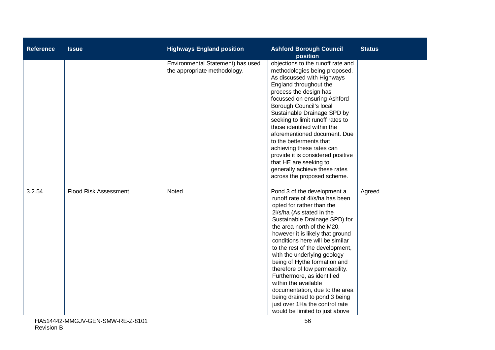| <b>Reference</b> | <b>Issue</b>                 | <b>Highways England position</b>                                  | <b>Ashford Borough Council</b><br>position                                                                                                                                                                                                                                                                                                                                                                                                                                                                                                                                                      | <b>Status</b> |
|------------------|------------------------------|-------------------------------------------------------------------|-------------------------------------------------------------------------------------------------------------------------------------------------------------------------------------------------------------------------------------------------------------------------------------------------------------------------------------------------------------------------------------------------------------------------------------------------------------------------------------------------------------------------------------------------------------------------------------------------|---------------|
|                  |                              | Environmental Statement) has used<br>the appropriate methodology. | objections to the runoff rate and<br>methodologies being proposed.<br>As discussed with Highways<br>England throughout the<br>process the design has<br>focussed on ensuring Ashford<br>Borough Council's local<br>Sustainable Drainage SPD by<br>seeking to limit runoff rates to<br>those identified within the<br>aforementioned document. Due<br>to the betterments that<br>achieving these rates can<br>provide it is considered positive<br>that HE are seeking to<br>generally achieve these rates<br>across the proposed scheme.                                                        |               |
| 3.2.54           | <b>Flood Risk Assessment</b> | Noted                                                             | Pond 3 of the development a<br>runoff rate of 4l/s/ha has been<br>opted for rather than the<br>2l/s/ha (As stated in the<br>Sustainable Drainage SPD) for<br>the area north of the M20,<br>however it is likely that ground<br>conditions here will be similar<br>to the rest of the development,<br>with the underlying geology<br>being of Hythe formation and<br>therefore of low permeability.<br>Furthermore, as identified<br>within the available<br>documentation, due to the area<br>being drained to pond 3 being<br>just over 1Ha the control rate<br>would be limited to just above | Agreed        |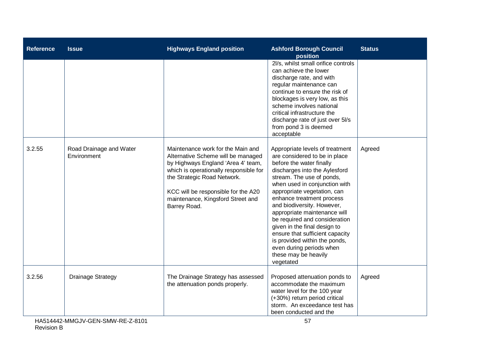| <b>Reference</b> | <b>Issue</b>                           | <b>Highways England position</b>                                                                                                                                                                                                                                                   | <b>Ashford Borough Council</b><br>position                                                                                                                                                                                                                                                                                                                                                                                                                                                                                  | <b>Status</b> |
|------------------|----------------------------------------|------------------------------------------------------------------------------------------------------------------------------------------------------------------------------------------------------------------------------------------------------------------------------------|-----------------------------------------------------------------------------------------------------------------------------------------------------------------------------------------------------------------------------------------------------------------------------------------------------------------------------------------------------------------------------------------------------------------------------------------------------------------------------------------------------------------------------|---------------|
|                  |                                        |                                                                                                                                                                                                                                                                                    | 2l/s, whilst small orifice controls<br>can achieve the lower<br>discharge rate, and with<br>regular maintenance can<br>continue to ensure the risk of<br>blockages is very low, as this<br>scheme involves national<br>critical infrastructure the<br>discharge rate of just over 5l/s<br>from pond 3 is deemed<br>acceptable                                                                                                                                                                                               |               |
| 3.2.55           | Road Drainage and Water<br>Environment | Maintenance work for the Main and<br>Alternative Scheme will be managed<br>by Highways England 'Area 4' team,<br>which is operationally responsible for<br>the Strategic Road Network.<br>KCC will be responsible for the A20<br>maintenance, Kingsford Street and<br>Barrey Road. | Appropriate levels of treatment<br>are considered to be in place<br>before the water finally<br>discharges into the Aylesford<br>stream. The use of ponds,<br>when used in conjunction with<br>appropriate vegetation, can<br>enhance treatment process<br>and biodiversity. However,<br>appropriate maintenance will<br>be required and consideration<br>given in the final design to<br>ensure that sufficient capacity<br>is provided within the ponds,<br>even during periods when<br>these may be heavily<br>vegetated | Agreed        |
| 3.2.56           | <b>Drainage Strategy</b>               | The Drainage Strategy has assessed<br>the attenuation ponds properly.                                                                                                                                                                                                              | Proposed attenuation ponds to<br>accommodate the maximum<br>water level for the 100 year<br>(+30%) return period critical<br>storm. An exceedance test has<br>been conducted and the                                                                                                                                                                                                                                                                                                                                        | Agreed        |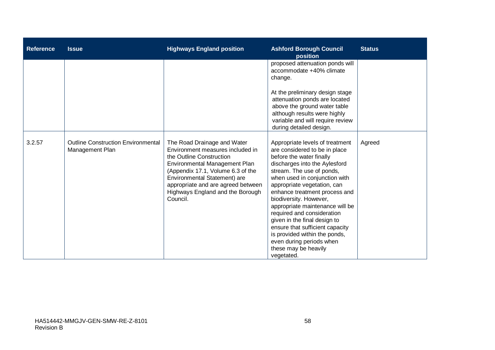| <b>Reference</b> | <b>Issue</b>                                                 | <b>Highways England position</b>                                                                                                                                                                                                                                                        | <b>Ashford Borough Council</b><br>position                                                                                                                                                                                                                                                                                                                                                                                                                                                                                   | <b>Status</b> |
|------------------|--------------------------------------------------------------|-----------------------------------------------------------------------------------------------------------------------------------------------------------------------------------------------------------------------------------------------------------------------------------------|------------------------------------------------------------------------------------------------------------------------------------------------------------------------------------------------------------------------------------------------------------------------------------------------------------------------------------------------------------------------------------------------------------------------------------------------------------------------------------------------------------------------------|---------------|
|                  |                                                              |                                                                                                                                                                                                                                                                                         | proposed attenuation ponds will<br>accommodate +40% climate<br>change.<br>At the preliminary design stage<br>attenuation ponds are located<br>above the ground water table<br>although results were highly<br>variable and will require review<br>during detailed design.                                                                                                                                                                                                                                                    |               |
| 3.2.57           | <b>Outline Construction Environmental</b><br>Management Plan | The Road Drainage and Water<br>Environment measures included in<br>the Outline Construction<br>Environmental Management Plan<br>(Appendix 17.1, Volume 6.3 of the<br>Environmental Statement) are<br>appropriate and are agreed between<br>Highways England and the Borough<br>Council. | Appropriate levels of treatment<br>are considered to be in place<br>before the water finally<br>discharges into the Aylesford<br>stream. The use of ponds,<br>when used in conjunction with<br>appropriate vegetation, can<br>enhance treatment process and<br>biodiversity. However,<br>appropriate maintenance will be<br>required and consideration<br>given in the final design to<br>ensure that sufficient capacity<br>is provided within the ponds,<br>even during periods when<br>these may be heavily<br>vegetated. | Agreed        |